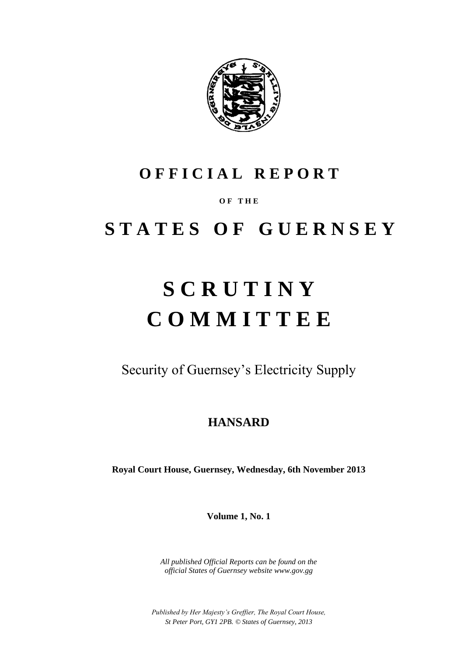

## **O F F I C I A L R E P O R T**

## **O F T H E**

## **S T A T E S O F G U E R N S E Y**

# **S C R U T I N Y C O M M I T T E E**

Security of Guernsey's Electricity Supply

## **HANSARD**

**Royal Court House, Guernsey, Wednesday, 6th November 2013**

**Volume 1, No. 1**

*All published Official Reports can be found on the official States of Guernsey website www.gov.gg*

*Published by Her Majesty's Greffier, The Royal Court House, St Peter Port, GY1 2PB. © States of Guernsey, 2013*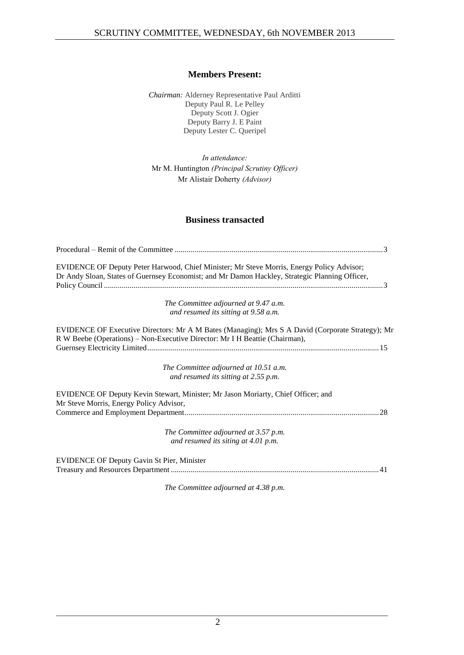## **Members Present:**

*Chairman:* Alderney Representative Paul Arditti Deputy Paul R. Le Pelley Deputy Scott J. Ogier Deputy Barry J. E Paint Deputy Lester C. Queripel

*In attendance:* Mr M. Huntington *(Principal Scrutiny Officer)* Mr Alistair Doherty *(Advisor)*

## **Business transacted**

| EVIDENCE OF Deputy Peter Harwood, Chief Minister; Mr Steve Morris, Energy Policy Advisor;<br>Dr Andy Sloan, States of Guernsey Economist; and Mr Damon Hackley, Strategic Planning Officer, |
|---------------------------------------------------------------------------------------------------------------------------------------------------------------------------------------------|
| The Committee adjourned at 9.47 a.m.                                                                                                                                                        |
| and resumed its sitting at 9.58 a.m.                                                                                                                                                        |
| EVIDENCE OF Executive Directors: Mr A M Bates (Managing); Mrs S A David (Corporate Strategy); Mr<br>R W Beebe (Operations) – Non-Executive Director: Mr I H Beattie (Chairman),             |
| The Committee adjourned at 10.51 a.m.                                                                                                                                                       |
| and resumed its sitting at 2.55 p.m.                                                                                                                                                        |
| EVIDENCE OF Deputy Kevin Stewart, Minister; Mr Jason Moriarty, Chief Officer; and<br>Mr Steve Morris, Energy Policy Advisor,                                                                |
|                                                                                                                                                                                             |
| The Committee adjourned at 3.57 p.m.                                                                                                                                                        |
| and resumed its siting at 4.01 p.m.                                                                                                                                                         |
| <b>EVIDENCE OF Deputy Gavin St Pier, Minister</b>                                                                                                                                           |
|                                                                                                                                                                                             |

*The Committee adjourned at 4.38 p.m.*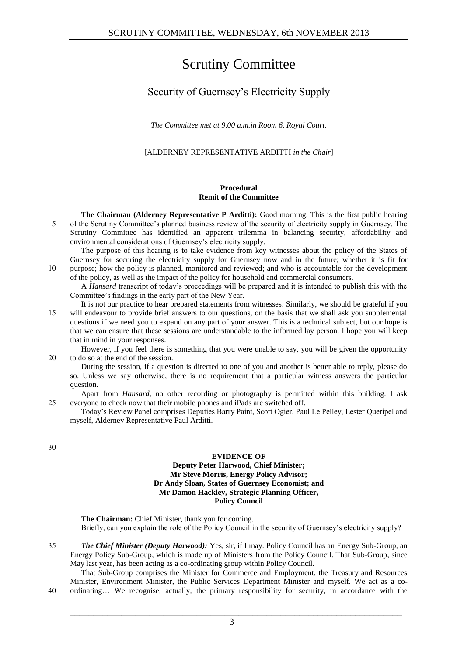## Scrutiny Committee

## Security of Guernsey's Electricity Supply

*The Committee met at 9.00 a.m.in Room 6, Royal Court.*

[ALDERNEY REPRESENTATIVE ARDITTI *in the Chair*]

## **Procedural Remit of the Committee**

**The Chairman (Alderney Representative P Arditti):** Good morning. This is the first public hearing 5 of the Scrutiny Committee's planned business review of the security of electricity supply in Guernsey. The Scrutiny Committee has identified an apparent trilemma in balancing security, affordability and environmental considerations of Guernsey's electricity supply.

The purpose of this hearing is to take evidence from key witnesses about the policy of the States of Guernsey for securing the electricity supply for Guernsey now and in the future; whether it is fit for 10 purpose; how the policy is planned, monitored and reviewed; and who is accountable for the development of the policy, as well as the impact of the policy for household and commercial consumers.

A *Hansard* transcript of today's proceedings will be prepared and it is intended to publish this with the Committee's findings in the early part of the New Year.

It is not our practice to hear prepared statements from witnesses. Similarly, we should be grateful if you 15 will endeavour to provide brief answers to our questions, on the basis that we shall ask you supplemental questions if we need you to expand on any part of your answer. This is a technical subject, but our hope is that we can ensure that these sessions are understandable to the informed lay person. I hope you will keep that in mind in your responses.

However, if you feel there is something that you were unable to say, you will be given the opportunity 20 to do so at the end of the session.

During the session, if a question is directed to one of you and another is better able to reply, please do so. Unless we say otherwise, there is no requirement that a particular witness answers the particular question.

Apart from *Hansard*, no other recording or photography is permitted within this building. I ask 25 everyone to check now that their mobile phones and iPads are switched off.

Today's Review Panel comprises Deputies Barry Paint, Scott Ogier, Paul Le Pelley, Lester Queripel and myself, Alderney Representative Paul Arditti.

30

## **EVIDENCE OF**

## **Deputy Peter Harwood, Chief Minister; Mr Steve Morris, Energy Policy Advisor; Dr Andy Sloan, States of Guernsey Economist; and Mr Damon Hackley, Strategic Planning Officer, Policy Council**

**The Chairman:** Chief Minister, thank you for coming. Briefly, can you explain the role of the Policy Council in the security of Guernsey's electricity supply?

35 *The Chief Minister (Deputy Harwood):* Yes, sir, if I may. Policy Council has an Energy Sub-Group, an Energy Policy Sub-Group, which is made up of Ministers from the Policy Council. That Sub-Group, since May last year, has been acting as a co-ordinating group within Policy Council.

That Sub-Group comprises the Minister for Commerce and Employment, the Treasury and Resources Minister, Environment Minister, the Public Services Department Minister and myself. We act as a co-40 ordinating… We recognise, actually, the primary responsibility for security, in accordance with the

 $\mathcal{L}_\text{max} = \mathcal{L}_\text{max} = \mathcal{L}_\text{max} = \mathcal{L}_\text{max} = \mathcal{L}_\text{max} = \mathcal{L}_\text{max} = \mathcal{L}_\text{max} = \mathcal{L}_\text{max} = \mathcal{L}_\text{max} = \mathcal{L}_\text{max} = \mathcal{L}_\text{max} = \mathcal{L}_\text{max} = \mathcal{L}_\text{max} = \mathcal{L}_\text{max} = \mathcal{L}_\text{max} = \mathcal{L}_\text{max} = \mathcal{L}_\text{max} = \mathcal{L}_\text{max} = \mathcal{$ 3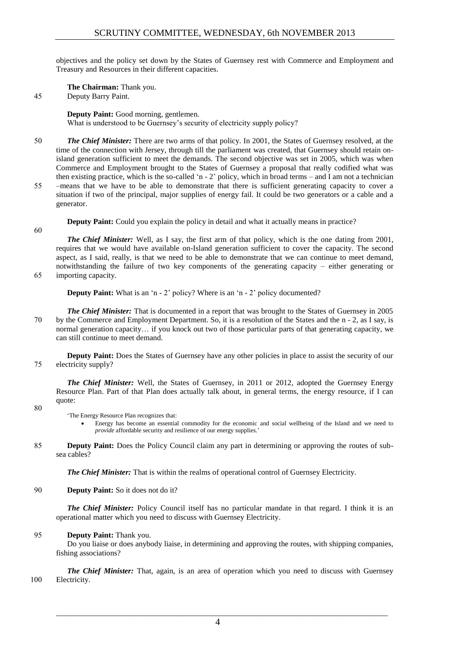objectives and the policy set down by the States of Guernsey rest with Commerce and Employment and Treasury and Resources in their different capacities.

**The Chairman:** Thank you.

45 Deputy Barry Paint.

**Deputy Paint:** Good morning, gentlemen. What is understood to be Guernsey's security of electricity supply policy?

- 50 *The Chief Minister:* There are two arms of that policy. In 2001, the States of Guernsey resolved, at the time of the connection with Jersey, through till the parliament was created, that Guernsey should retain onisland generation sufficient to meet the demands. The second objective was set in 2005, which was when Commerce and Employment brought to the States of Guernsey a proposal that really codified what was then existing practice, which is the so-called 'n - 2' policy, which in broad terms – and I am not a technician 55 –means that we have to be able to demonstrate that there is sufficient generating capacity to cover a
- situation if two of the principal, major supplies of energy fail. It could be two generators or a cable and a generator.

**Deputy Paint:** Could you explain the policy in detail and what it actually means in practice?

60

**The Chief Minister:** Well, as I say, the first arm of that policy, which is the one dating from 2001, requires that we would have available on-Island generation sufficient to cover the capacity. The second aspect, as I said, really, is that we need to be able to demonstrate that we can continue to meet demand, notwithstanding the failure of two key components of the generating capacity – either generating or

65 importing capacity.

**Deputy Paint:** What is an 'n - 2' policy? Where is an 'n - 2' policy documented?

*The Chief Minister:* That is documented in a report that was brought to the States of Guernsey in 2005 70 by the Commerce and Employment Department. So, it is a resolution of the States and the n - 2, as I say, is normal generation capacity… if you knock out two of those particular parts of that generating capacity, we can still continue to meet demand.

**Deputy Paint:** Does the States of Guernsey have any other policies in place to assist the security of our 75 electricity supply?

*The Chief Minister:* Well, the States of Guernsey, in 2011 or 2012, adopted the Guernsey Energy Resource Plan. Part of that Plan does actually talk about, in general terms, the energy resource, if I can quote:

80

'The Energy Resource Plan recognizes that:

- Energy has become an essential commodity for the economic and social wellbeing of the Island and we need to *provide* affordable security and resilience of our energy supplies.'
- 85 **Deputy Paint:** Does the Policy Council claim any part in determining or approving the routes of subsea cables?

*The Chief Minister:* That is within the realms of operational control of Guernsey Electricity.

90 **Deputy Paint:** So it does not do it?

*The Chief Minister:* Policy Council itself has no particular mandate in that regard. I think it is an operational matter which you need to discuss with Guernsey Electricity.

## 95 **Deputy Paint:** Thank you.

Do you liaise or does anybody liaise, in determining and approving the routes, with shipping companies, fishing associations?

*The Chief Minister:* That, again, is an area of operation which you need to discuss with Guernsey 100 Electricity.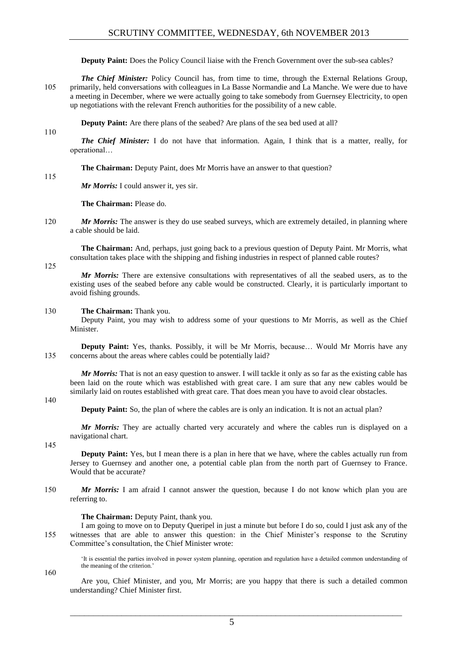**Deputy Paint:** Does the Policy Council liaise with the French Government over the sub-sea cables?

*The Chief Minister:* Policy Council has, from time to time, through the External Relations Group, 105 primarily, held conversations with colleagues in La Basse Normandie and La Manche. We were due to have a meeting in December, where we were actually going to take somebody from Guernsey Electricity, to open up negotiations with the relevant French authorities for the possibility of a new cable.

**Deputy Paint:** Are there plans of the seabed? Are plans of the sea bed used at all?

*The Chief Minister:* I do not have that information. Again, I think that is a matter, really, for operational…

**The Chairman:** Deputy Paint, does Mr Morris have an answer to that question?

115

110

*Mr Morris:* I could answer it, yes sir.

**The Chairman:** Please do.

120 *Mr Morris:* The answer is they do use seabed surveys, which are extremely detailed, in planning where a cable should be laid.

**The Chairman:** And, perhaps, just going back to a previous question of Deputy Paint. Mr Morris, what consultation takes place with the shipping and fishing industries in respect of planned cable routes?

125

*Mr Morris:* There are extensive consultations with representatives of all the seabed users, as to the existing uses of the seabed before any cable would be constructed. Clearly, it is particularly important to avoid fishing grounds.

## 130 **The Chairman:** Thank you.

Deputy Paint, you may wish to address some of your questions to Mr Morris, as well as the Chief Minister.

**Deputy Paint:** Yes, thanks. Possibly, it will be Mr Morris, because… Would Mr Morris have any 135 concerns about the areas where cables could be potentially laid?

*Mr Morris:* That is not an easy question to answer. I will tackle it only as so far as the existing cable has been laid on the route which was established with great care. I am sure that any new cables would be similarly laid on routes established with great care. That does mean you have to avoid clear obstacles.

### 140

**Deputy Paint:** So, the plan of where the cables are is only an indication. It is not an actual plan?

*Mr Morris:* They are actually charted very accurately and where the cables run is displayed on a navigational chart.

145

**Deputy Paint:** Yes, but I mean there is a plan in here that we have, where the cables actually run from Jersey to Guernsey and another one, a potential cable plan from the north part of Guernsey to France. Would that be accurate?

150 *Mr Morris:* I am afraid I cannot answer the question, because I do not know which plan you are referring to.

## **The Chairman: Deputy Paint, thank you.**

I am going to move on to Deputy Queripel in just a minute but before I do so, could I just ask any of the 155 witnesses that are able to answer this question: in the Chief Minister's response to the Scrutiny Committee's consultation, the Chief Minister wrote:

'It is essential the parties involved in power system planning, operation and regulation have a detailed common understanding of the meaning of the criterion.'

160

Are you, Chief Minister, and you, Mr Morris; are you happy that there is such a detailed common understanding? Chief Minister first.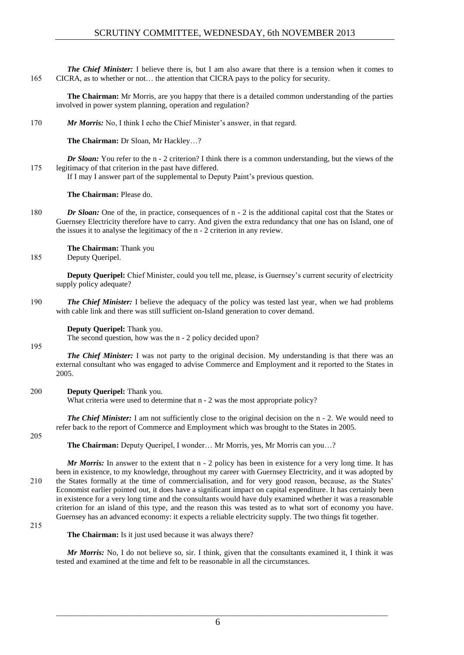*The Chief Minister:* I believe there is, but I am also aware that there is a tension when it comes to 165 CICRA, as to whether or not… the attention that CICRA pays to the policy for security.

**The Chairman:** Mr Morris, are you happy that there is a detailed common understanding of the parties involved in power system planning, operation and regulation?

170 *Mr Morris:* No, I think I echo the Chief Minister's answer, in that regard.

**The Chairman:** Dr Sloan, Mr Hackley…?

*Dr Sloan:* You refer to the n - 2 criterion? I think there is a common understanding, but the views of the 175 legitimacy of that criterion in the past have differed.

If I may I answer part of the supplemental to Deputy Paint's previous question.

**The Chairman:** Please do.

180 *Dr Sloan:* One of the, in practice, consequences of n - 2 is the additional capital cost that the States or Guernsey Electricity therefore have to carry. And given the extra redundancy that one has on Island, one of the issues it to analyse the legitimacy of the n - 2 criterion in any review.

**The Chairman:** Thank you

185 Deputy Queripel.

**Deputy Queripel:** Chief Minister, could you tell me, please, is Guernsey's current security of electricity supply policy adequate?

190 *The Chief Minister:* I believe the adequacy of the policy was tested last year, when we had problems with cable link and there was still sufficient on-Island generation to cover demand.

**Deputy Queripel:** Thank you.

The second question, how was the n - 2 policy decided upon?

195

*The Chief Minister:* I was not party to the original decision. My understanding is that there was an external consultant who was engaged to advise Commerce and Employment and it reported to the States in 2005.

## 200 **Deputy Queripel:** Thank you.

What criteria were used to determine that  $n - 2$  was the most appropriate policy?

*The Chief Minister:* I am not sufficiently close to the original decision on the n - 2. We would need to refer back to the report of Commerce and Employment which was brought to the States in 2005.

205

**The Chairman:** Deputy Queripel, I wonder… Mr Morris, yes, Mr Morris can you…?

*Mr Morris:* In answer to the extent that n - 2 policy has been in existence for a very long time. It has been in existence, to my knowledge, throughout my career with Guernsey Electricity, and it was adopted by 210 the States formally at the time of commercialisation, and for very good reason, because, as the States' Economist earlier pointed out, it does have a significant impact on capital expenditure. It has certainly been in existence for a very long time and the consultants would have duly examined whether it was a reasonable criterion for an island of this type, and the reason this was tested as to what sort of economy you have. Guernsey has an advanced economy: it expects a reliable electricity supply. The two things fit together.

215

**The Chairman:** Is it just used because it was always there?

*Mr Morris:* No, I do not believe so, sir. I think, given that the consultants examined it, I think it was tested and examined at the time and felt to be reasonable in all the circumstances.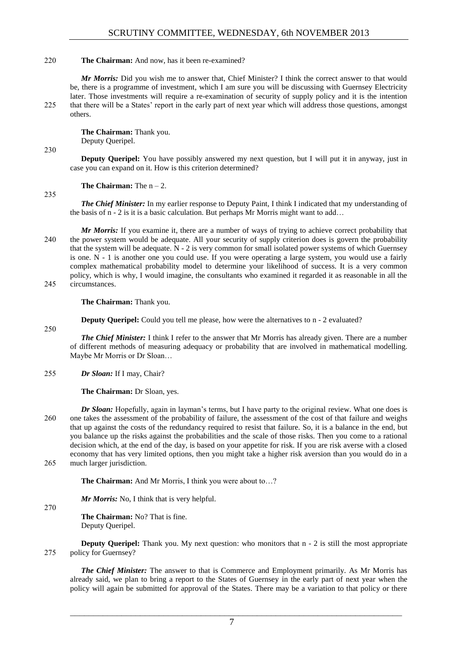## 220 **The Chairman:** And now, has it been re-examined?

*Mr Morris:* Did you wish me to answer that, Chief Minister? I think the correct answer to that would be, there is a programme of investment, which I am sure you will be discussing with Guernsey Electricity later. Those investments will require a re-examination of security of supply policy and it is the intention 225 that there will be a States' report in the early part of next year which will address those questions, amongst others.

> **The Chairman:** Thank you. Deputy Queripel.

#### 230

**Deputy Queripel:** You have possibly answered my next question, but I will put it in anyway, just in case you can expand on it. How is this criterion determined?

**The Chairman:** The  $n - 2$ .

235

*The Chief Minister:* In my earlier response to Deputy Paint, I think I indicated that my understanding of the basis of n - 2 is it is a basic calculation. But perhaps Mr Morris might want to add…

*Mr Morris:* If you examine it, there are a number of ways of trying to achieve correct probability that 240 the power system would be adequate. All your security of supply criterion does is govern the probability that the system will be adequate. N - 2 is very common for small isolated power systems of which Guernsey is one. N - 1 is another one you could use. If you were operating a large system, you would use a fairly complex mathematical probability model to determine your likelihood of success. It is a very common policy, which is why, I would imagine, the consultants who examined it regarded it as reasonable in all the 245 circumstances.

**The Chairman:** Thank you.

**Deputy Queripel:** Could you tell me please, how were the alternatives to n - 2 evaluated?

250

*The Chief Minister:* I think I refer to the answer that Mr Morris has already given. There are a number of different methods of measuring adequacy or probability that are involved in mathematical modelling. Maybe Mr Morris or Dr Sloan…

255 *Dr Sloan:* If I may, Chair?

**The Chairman:** Dr Sloan, yes.

*Dr Sloan:* Hopefully, again in layman's terms, but I have party to the original review. What one does is 260 one takes the assessment of the probability of failure, the assessment of the cost of that failure and weighs that up against the costs of the redundancy required to resist that failure. So, it is a balance in the end, but you balance up the risks against the probabilities and the scale of those risks. Then you come to a rational decision which, at the end of the day, is based on your appetite for risk. If you are risk averse with a closed economy that has very limited options, then you might take a higher risk aversion than you would do in a 265 much larger jurisdiction.

**The Chairman:** And Mr Morris, I think you were about to…?

*Mr Morris:* No, I think that is very helpful.

270

**The Chairman:** No? That is fine. Deputy Queripel.

**Deputy Queripel:** Thank you. My next question: who monitors that  $n - 2$  is still the most appropriate 275 policy for Guernsey?

*The Chief Minister:* The answer to that is Commerce and Employment primarily. As Mr Morris has already said, we plan to bring a report to the States of Guernsey in the early part of next year when the policy will again be submitted for approval of the States. There may be a variation to that policy or there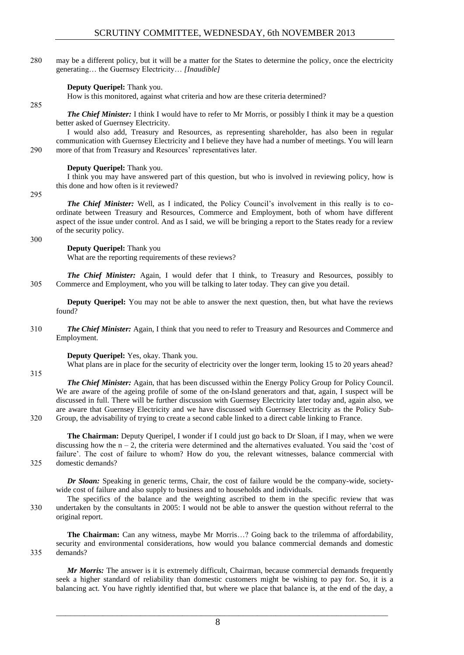280 may be a different policy, but it will be a matter for the States to determine the policy, once the electricity generating… the Guernsey Electricity… *[Inaudible]*

## **Deputy Queripel:** Thank you.

How is this monitored, against what criteria and how are these criteria determined?

## 285

*The Chief Minister:* I think I would have to refer to Mr Morris, or possibly I think it may be a question better asked of Guernsey Electricity.

I would also add, Treasury and Resources, as representing shareholder, has also been in regular communication with Guernsey Electricity and I believe they have had a number of meetings. You will learn 290 more of that from Treasury and Resources' representatives later.

#### **Deputy Queripel:** Thank you.

I think you may have answered part of this question, but who is involved in reviewing policy, how is this done and how often is it reviewed?

295

*The Chief Minister:* Well, as I indicated, the Policy Council's involvement in this really is to coordinate between Treasury and Resources, Commerce and Employment, both of whom have different aspect of the issue under control. And as I said, we will be bringing a report to the States ready for a review of the security policy.

300

#### **Deputy Queripel:** Thank you

What are the reporting requirements of these reviews?

*The Chief Minister:* Again, I would defer that I think, to Treasury and Resources, possibly to 305 Commerce and Employment, who you will be talking to later today. They can give you detail.

**Deputy Queripel:** You may not be able to answer the next question, then, but what have the reviews found?

310 *The Chief Minister:* Again, I think that you need to refer to Treasury and Resources and Commerce and Employment.

#### **Deputy Queripel:** Yes, okay. Thank you.

What plans are in place for the security of electricity over the longer term, looking 15 to 20 years ahead?

315

*The Chief Minister:* Again, that has been discussed within the Energy Policy Group for Policy Council. We are aware of the ageing profile of some of the on-Island generators and that, again, I suspect will be discussed in full. There will be further discussion with Guernsey Electricity later today and, again also, we are aware that Guernsey Electricity and we have discussed with Guernsey Electricity as the Policy Sub-

320 Group, the advisability of trying to create a second cable linked to a direct cable linking to France.

**The Chairman:** Deputy Queripel, I wonder if I could just go back to Dr Sloan, if I may, when we were discussing how the n – 2, the criteria were determined and the alternatives evaluated. You said the 'cost of failure'. The cost of failure to whom? How do you, the relevant witnesses, balance commercial with 325 domestic demands?

*Dr Sloan:* Speaking in generic terms, Chair, the cost of failure would be the company-wide, societywide cost of failure and also supply to business and to households and individuals.

The specifics of the balance and the weighting ascribed to them in the specific review that was 330 undertaken by the consultants in 2005: I would not be able to answer the question without referral to the original report.

**The Chairman:** Can any witness, maybe Mr Morris…? Going back to the trilemma of affordability, security and environmental considerations, how would you balance commercial demands and domestic 335 demands?

*Mr Morris:* The answer is it is extremely difficult, Chairman, because commercial demands frequently seek a higher standard of reliability than domestic customers might be wishing to pay for. So, it is a balancing act. You have rightly identified that, but where we place that balance is, at the end of the day, a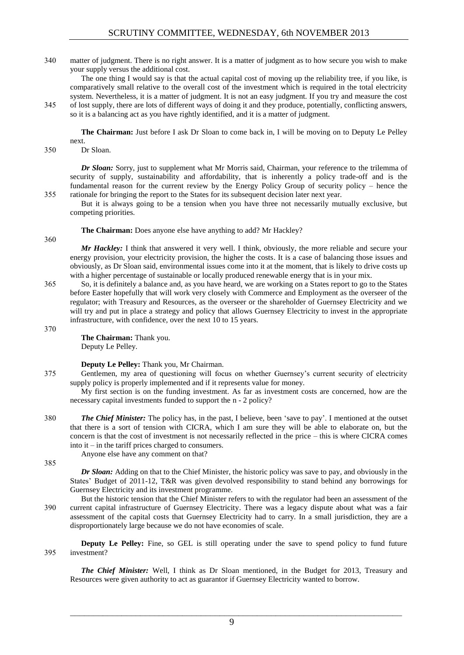340 matter of judgment. There is no right answer. It is a matter of judgment as to how secure you wish to make your supply versus the additional cost.

The one thing I would say is that the actual capital cost of moving up the reliability tree, if you like, is comparatively small relative to the overall cost of the investment which is required in the total electricity system. Nevertheless, it is a matter of judgment. It is not an easy judgment. If you try and measure the cost 345 of lost supply, there are lots of different ways of doing it and they produce, potentially, conflicting answers, so it is a balancing act as you have rightly identified, and it is a matter of judgment.

**The Chairman:** Just before I ask Dr Sloan to come back in, I will be moving on to Deputy Le Pelley next.

350 Dr Sloan.

*Dr Sloan:* Sorry, just to supplement what Mr Morris said, Chairman, your reference to the trilemma of security of supply, sustainability and affordability, that is inherently a policy trade-off and is the fundamental reason for the current review by the Energy Policy Group of security policy – hence the 355 rationale for bringing the report to the States for its subsequent decision later next year.

But it is always going to be a tension when you have three not necessarily mutually exclusive, but competing priorities.

**The Chairman:** Does anyone else have anything to add? Mr Hackley?

*Mr Hackley:* I think that answered it very well. I think, obviously, the more reliable and secure your energy provision, your electricity provision, the higher the costs. It is a case of balancing those issues and obviously, as Dr Sloan said, environmental issues come into it at the moment, that is likely to drive costs up with a higher percentage of sustainable or locally produced renewable energy that is in your mix.

365 So, it is definitely a balance and, as you have heard, we are working on a States report to go to the States before Easter hopefully that will work very closely with Commerce and Employment as the overseer of the regulator; with Treasury and Resources, as the overseer or the shareholder of Guernsey Electricity and we will try and put in place a strategy and policy that allows Guernsey Electricity to invest in the appropriate infrastructure, with confidence, over the next 10 to 15 years.

370

360

**The Chairman:** Thank you. Deputy Le Pelley.

**Deputy Le Pelley:** Thank you, Mr Chairman.

375 Gentlemen, my area of questioning will focus on whether Guernsey's current security of electricity supply policy is properly implemented and if it represents value for money.

My first section is on the funding investment. As far as investment costs are concerned, how are the necessary capital investments funded to support the n - 2 policy?

380 *The Chief Minister:* The policy has, in the past, I believe, been 'save to pay'. I mentioned at the outset that there is a sort of tension with CICRA, which I am sure they will be able to elaborate on, but the concern is that the cost of investment is not necessarily reflected in the price – this is where CICRA comes into it – in the tariff prices charged to consumers.

Anyone else have any comment on that?

385

*Dr Sloan:* Adding on that to the Chief Minister, the historic policy was save to pay, and obviously in the States' Budget of 2011-12, T&R was given devolved responsibility to stand behind any borrowings for Guernsey Electricity and its investment programme.

But the historic tension that the Chief Minister refers to with the regulator had been an assessment of the 390 current capital infrastructure of Guernsey Electricity. There was a legacy dispute about what was a fair assessment of the capital costs that Guernsey Electricity had to carry. In a small jurisdiction, they are a disproportionately large because we do not have economies of scale.

**Deputy Le Pelley:** Fine, so GEL is still operating under the save to spend policy to fund future 395 investment?

*The Chief Minister:* Well, I think as Dr Sloan mentioned, in the Budget for 2013, Treasury and Resources were given authority to act as guarantor if Guernsey Electricity wanted to borrow.

 $\mathcal{L}_\text{max} = \mathcal{L}_\text{max} = \mathcal{L}_\text{max} = \mathcal{L}_\text{max} = \mathcal{L}_\text{max} = \mathcal{L}_\text{max} = \mathcal{L}_\text{max} = \mathcal{L}_\text{max} = \mathcal{L}_\text{max} = \mathcal{L}_\text{max} = \mathcal{L}_\text{max} = \mathcal{L}_\text{max} = \mathcal{L}_\text{max} = \mathcal{L}_\text{max} = \mathcal{L}_\text{max} = \mathcal{L}_\text{max} = \mathcal{L}_\text{max} = \mathcal{L}_\text{max} = \mathcal{$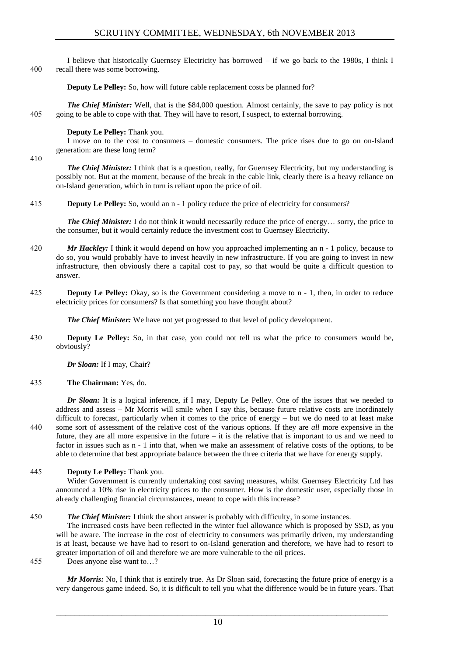I believe that historically Guernsey Electricity has borrowed – if we go back to the 1980s, I think I 400 recall there was some borrowing.

**Deputy Le Pelley:** So, how will future cable replacement costs be planned for?

*The Chief Minister:* Well, that is the \$84,000 question. Almost certainly, the save to pay policy is not 405 going to be able to cope with that. They will have to resort, I suspect, to external borrowing.

## **Deputy Le Pelley:** Thank you.

I move on to the cost to consumers – domestic consumers. The price rises due to go on on-Island generation: are these long term?

410

*The Chief Minister:* I think that is a question, really, for Guernsey Electricity, but my understanding is possibly not. But at the moment, because of the break in the cable link, clearly there is a heavy reliance on on-Island generation, which in turn is reliant upon the price of oil.

415 **Deputy Le Pelley:** So, would an n - 1 policy reduce the price of electricity for consumers?

*The Chief Minister:* I do not think it would necessarily reduce the price of energy... sorry, the price to the consumer, but it would certainly reduce the investment cost to Guernsey Electricity.

- 420 *Mr Hackley:* I think it would depend on how you approached implementing an n 1 policy, because to do so, you would probably have to invest heavily in new infrastructure. If you are going to invest in new infrastructure, then obviously there a capital cost to pay, so that would be quite a difficult question to answer.
- 425 **Deputy Le Pelley:** Okay, so is the Government considering a move to n 1, then, in order to reduce electricity prices for consumers? Is that something you have thought about?

*The Chief Minister:* We have not yet progressed to that level of policy development.

430 **Deputy Le Pelley:** So, in that case, you could not tell us what the price to consumers would be, obviously?

*Dr Sloan:* If I may, Chair?

435 **The Chairman:** Yes, do.

*Dr Sloan:* It is a logical inference, if I may, Deputy Le Pelley. One of the issues that we needed to address and assess – Mr Morris will smile when I say this, because future relative costs are inordinately difficult to forecast, particularly when it comes to the price of energy – but we do need to at least make 440 some sort of assessment of the relative cost of the various options. If they are *all* more expensive in the future, they are all more expensive in the future – it is the relative that is important to us and we need to factor in issues such as n - 1 into that, when we make an assessment of relative costs of the options, to be able to determine that best appropriate balance between the three criteria that we have for energy supply.

445 **Deputy Le Pelley:** Thank you.

Wider Government is currently undertaking cost saving measures, whilst Guernsey Electricity Ltd has announced a 10% rise in electricity prices to the consumer. How is the domestic user, especially those in already challenging financial circumstances, meant to cope with this increase?

## 450 *The Chief Minister:* I think the short answer is probably with difficulty, in some instances.

The increased costs have been reflected in the winter fuel allowance which is proposed by SSD, as you will be aware. The increase in the cost of electricity to consumers was primarily driven, my understanding is at least, because we have had to resort to on-Island generation and therefore, we have had to resort to greater importation of oil and therefore we are more vulnerable to the oil prices. 455 Does anyone else want to…?

*Mr Morris:* No, I think that is entirely true. As Dr Sloan said, forecasting the future price of energy is a very dangerous game indeed. So, it is difficult to tell you what the difference would be in future years. That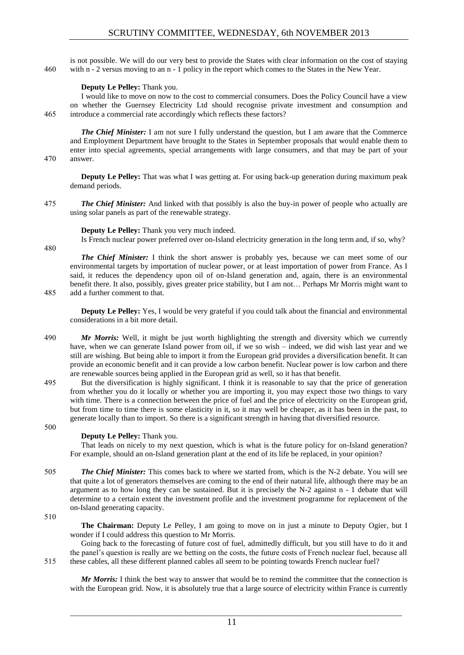is not possible. We will do our very best to provide the States with clear information on the cost of staying 460 with n - 2 versus moving to an n - 1 policy in the report which comes to the States in the New Year.

## **Deputy Le Pelley:** Thank you.

I would like to move on now to the cost to commercial consumers. Does the Policy Council have a view on whether the Guernsey Electricity Ltd should recognise private investment and consumption and 465 introduce a commercial rate accordingly which reflects these factors?

*The Chief Minister:* I am not sure I fully understand the question, but I am aware that the Commerce and Employment Department have brought to the States in September proposals that would enable them to enter into special agreements, special arrangements with large consumers, and that may be part of your 470 answer.

**Deputy Le Pelley:** That was what I was getting at. For using back-up generation during maximum peak demand periods.

475 *The Chief Minister:* And linked with that possibly is also the buy-in power of people who actually are using solar panels as part of the renewable strategy.

**Deputy Le Pelley:** Thank you very much indeed.

Is French nuclear power preferred over on-Island electricity generation in the long term and, if so, why?

480

*The Chief Minister:* I think the short answer is probably yes, because we can meet some of our environmental targets by importation of nuclear power, or at least importation of power from France. As I said, it reduces the dependency upon oil of on-Island generation and, again, there is an environmental benefit there. It also, possibly, gives greater price stability, but I am not… Perhaps Mr Morris might want to 485 add a further comment to that.

**Deputy Le Pelley:** Yes, I would be very grateful if you could talk about the financial and environmental considerations in a bit more detail.

- 490 *Mr Morris:* Well, it might be just worth highlighting the strength and diversity which we currently have, when we can generate Island power from oil, if we so wish – indeed, we did wish last year and we still are wishing. But being able to import it from the European grid provides a diversification benefit. It can provide an economic benefit and it can provide a low carbon benefit. Nuclear power is low carbon and there are renewable sources being applied in the European grid as well, so it has that benefit.
- 495 But the diversification is highly significant. I think it is reasonable to say that the price of generation from whether you do it locally or whether you are importing it, you may expect those two things to vary with time. There is a connection between the price of fuel and the price of electricity on the European grid, but from time to time there is some elasticity in it, so it may well be cheaper, as it has been in the past, to generate locally than to import. So there is a significant strength in having that diversified resource.

#### 500

## **Deputy Le Pelley:** Thank you.

That leads on nicely to my next question, which is what is the future policy for on-Island generation? For example, should an on-Island generation plant at the end of its life be replaced, in your opinion?

505 *The Chief Minister:* This comes back to where we started from, which is the N-2 debate. You will see that quite a lot of generators themselves are coming to the end of their natural life, although there may be an argument as to how long they can be sustained. But it is precisely the N-2 against n - 1 debate that will determine to a certain extent the investment profile and the investment programme for replacement of the on-Island generating capacity.

510

**The Chairman:** Deputy Le Pelley, I am going to move on in just a minute to Deputy Ogier, but I wonder if I could address this question to Mr Morris.

Going back to the forecasting of future cost of fuel, admittedly difficult, but you still have to do it and the panel's question is really are we betting on the costs, the future costs of French nuclear fuel, because all 515 these cables, all these different planned cables all seem to be pointing towards French nuclear fuel?

*Mr Morris:* I think the best way to answer that would be to remind the committee that the connection is with the European grid. Now, it is absolutely true that a large source of electricity within France is currently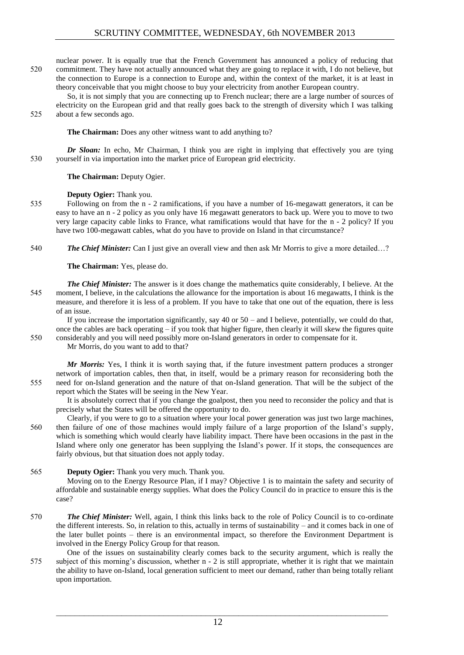nuclear power. It is equally true that the French Government has announced a policy of reducing that 520 commitment. They have not actually announced what they are going to replace it with, I do not believe, but the connection to Europe is a connection to Europe and, within the context of the market, it is at least in theory conceivable that you might choose to buy your electricity from another European country.

So, it is not simply that you are connecting up to French nuclear; there are a large number of sources of electricity on the European grid and that really goes back to the strength of diversity which I was talking 525 about a few seconds ago.

**The Chairman:** Does any other witness want to add anything to?

*Dr Sloan:* In echo, Mr Chairman, I think you are right in implying that effectively you are tying 530 yourself in via importation into the market price of European grid electricity.

**The Chairman:** Deputy Ogier.

## **Deputy Ogier:** Thank you.

- 535 Following on from the n 2 ramifications, if you have a number of 16-megawatt generators, it can be easy to have an n - 2 policy as you only have 16 megawatt generators to back up. Were you to move to two very large capacity cable links to France, what ramifications would that have for the n - 2 policy? If you have two 100-megawatt cables, what do you have to provide on Island in that circumstance?
- 540 *The Chief Minister:* Can I just give an overall view and then ask Mr Morris to give a more detailed…?

**The Chairman:** Yes, please do.

*The Chief Minister:* The answer is it does change the mathematics quite considerably, I believe. At the 545 moment, I believe, in the calculations the allowance for the importation is about 16 megawatts, I think is the measure, and therefore it is less of a problem. If you have to take that one out of the equation, there is less of an issue.

If you increase the importation significantly, say 40 or  $50 -$  and I believe, potentially, we could do that, once the cables are back operating  $-$  if you took that higher figure, then clearly it will skew the figures quite 550 considerably and you will need possibly more on-Island generators in order to compensate for it.

Mr Morris, do you want to add to that?

*Mr Morris:* Yes, I think it is worth saying that, if the future investment pattern produces a stronger network of importation cables, then that, in itself, would be a primary reason for reconsidering both the 555 need for on-Island generation and the nature of that on-Island generation. That will be the subject of the report which the States will be seeing in the New Year.

It is absolutely correct that if you change the goalpost, then you need to reconsider the policy and that is precisely what the States will be offered the opportunity to do.

- Clearly, if you were to go to a situation where your local power generation was just two large machines, 560 then failure of one of those machines would imply failure of a large proportion of the Island's supply, which is something which would clearly have liability impact. There have been occasions in the past in the Island where only one generator has been supplying the Island's power. If it stops, the consequences are fairly obvious, but that situation does not apply today.
- 565 **Deputy Ogier:** Thank you very much. Thank you.

Moving on to the Energy Resource Plan, if I may? Objective 1 is to maintain the safety and security of affordable and sustainable energy supplies. What does the Policy Council do in practice to ensure this is the case?

- 570 *The Chief Minister:* Well, again, I think this links back to the role of Policy Council is to co-ordinate the different interests. So, in relation to this, actually in terms of sustainability – and it comes back in one of the later bullet points – there is an environmental impact, so therefore the Environment Department is involved in the Energy Policy Group for that reason.
- One of the issues on sustainability clearly comes back to the security argument, which is really the 575 subject of this morning's discussion, whether n - 2 is still appropriate, whether it is right that we maintain the ability to have on-Island, local generation sufficient to meet our demand, rather than being totally reliant upon importation.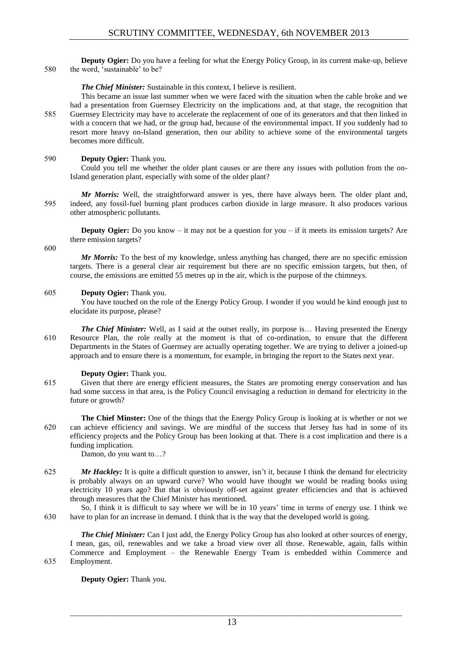**Deputy Ogier:** Do you have a feeling for what the Energy Policy Group, in its current make-up, believe 580 the word, 'sustainable' to be?

## *The Chief Minister:* Sustainable in this context, I believe is resilient.

This became an issue last summer when we were faced with the situation when the cable broke and we had a presentation from Guernsey Electricity on the implications and, at that stage, the recognition that 585 Guernsey Electricity may have to accelerate the replacement of one of its generators and that then linked in with a concern that we had, or the group had, because of the environmental impact. If you suddenly had to resort more heavy on-Island generation, then our ability to achieve some of the environmental targets becomes more difficult.

## 590 **Deputy Ogier:** Thank you.

Could you tell me whether the older plant causes or are there any issues with pollution from the on-Island generation plant, especially with some of the older plant?

*Mr Morris:* Well, the straightforward answer is yes, there have always been. The older plant and, 595 indeed, any fossil-fuel burning plant produces carbon dioxide in large measure. It also produces various other atmospheric pollutants.

**Deputy Ogier:** Do you know – it may not be a question for you – if it meets its emission targets? Are there emission targets?

600

*Mr Morris:* To the best of my knowledge, unless anything has changed, there are no specific emission targets. There is a general clear air requirement but there are no specific emission targets, but then, of course, the emissions are emitted 55 metres up in the air, which is the purpose of the chimneys.

## 605 **Deputy Ogier:** Thank you.

You have touched on the role of the Energy Policy Group. I wonder if you would be kind enough just to elucidate its purpose, please?

*The Chief Minister:* Well, as I said at the outset really, its purpose is... Having presented the Energy 610 Resource Plan, the role really at the moment is that of co-ordination, to ensure that the different Departments in the States of Guernsey are actually operating together. We are trying to deliver a joined-up approach and to ensure there is a momentum, for example, in bringing the report to the States next year.

## **Deputy Ogier:** Thank you.

615 Given that there are energy efficient measures, the States are promoting energy conservation and has had some success in that area, is the Policy Council envisaging a reduction in demand for electricity in the future or growth?

**The Chief Minster:** One of the things that the Energy Policy Group is looking at is whether or not we 620 can achieve efficiency and savings. We are mindful of the success that Jersey has had in some of its efficiency projects and the Policy Group has been looking at that. There is a cost implication and there is a funding implication.

Damon, do you want to…?

625 *Mr Hackley:* It is quite a difficult question to answer, isn't it, because I think the demand for electricity is probably always on an upward curve? Who would have thought we would be reading books using electricity 10 years ago? But that is obviously off-set against greater efficiencies and that is achieved through measures that the Chief Minister has mentioned.

So, I think it is difficult to say where we will be in 10 years' time in terms of energy use. I think we 630 have to plan for an increase in demand. I think that is the way that the developed world is going.

*The Chief Minister:* Can I just add, the Energy Policy Group has also looked at other sources of energy, I mean, gas, oil, renewables and we take a broad view over all those. Renewable, again, falls within Commerce and Employment – the Renewable Energy Team is embedded within Commerce and 635 Employment.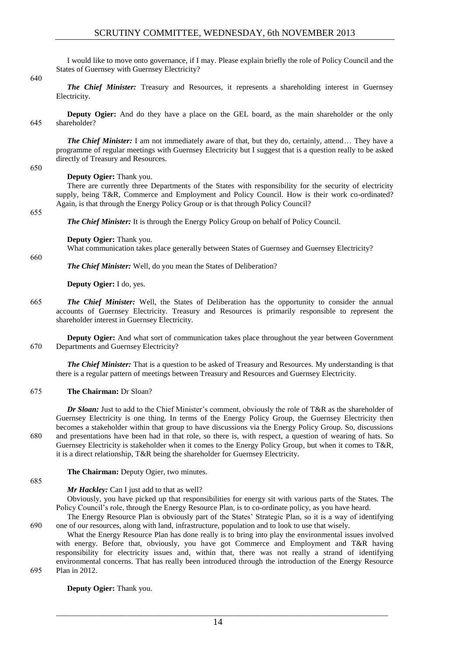I would like to move onto governance, if I may. Please explain briefly the role of Policy Council and the States of Guernsey with Guernsey Electricity?

640

*The Chief Minister:* Treasury and Resources, it represents a shareholding interest in Guernsey Electricity.

**Deputy Ogier:** And do they have a place on the GEL board, as the main shareholder or the only 645 shareholder?

*The Chief Minister: I am not immediately aware of that, but they do, certainly, attend... They have a* programme of regular meetings with Guernsey Electricity but I suggest that is a question really to be asked directly of Treasury and Resources.

#### 650

## **Deputy Ogier:** Thank you.

There are currently three Departments of the States with responsibility for the security of electricity supply, being T&R, Commerce and Employment and Policy Council. How is their work co-ordinated? Again, is that through the Energy Policy Group or is that through Policy Council?

655

*The Chief Minister:* It is through the Energy Policy Group on behalf of Policy Council.

**Deputy Ogier:** Thank you.

What communication takes place generally between States of Guernsey and Guernsey Electricity?

660

*The Chief Minister:* Well, do you mean the States of Deliberation?

**Deputy Ogier:** I do, yes.

665 *The Chief Minister:* Well, the States of Deliberation has the opportunity to consider the annual accounts of Guernsey Electricity. Treasury and Resources is primarily responsible to represent the shareholder interest in Guernsey Electricity.

**Deputy Ogier:** And what sort of communication takes place throughout the year between Government 670 Departments and Guernsey Electricity?

*The Chief Minister:* That is a question to be asked of Treasury and Resources. My understanding is that there is a regular pattern of meetings between Treasury and Resources and Guernsey Electricity.

## 675 **The Chairman:** Dr Sloan?

*Dr Sloan:* Just to add to the Chief Minister's comment, obviously the role of T&R as the shareholder of Guernsey Electricity is one thing. In terms of the Energy Policy Group, the Guernsey Electricity then becomes a stakeholder within that group to have discussions via the Energy Policy Group. So, discussions 680 and presentations have been had in that role, so there is, with respect, a question of wearing of hats. So Guernsey Electricity is stakeholder when it comes to the Energy Policy Group, but when it comes to T&R, it is a direct relationship, T&R being the shareholder for Guernsey Electricity.

**The Chairman:** Deputy Ogier, two minutes.

685

## *Mr Hackley:* Can I just add to that as well?

Obviously, you have picked up that responsibilities for energy sit with various parts of the States. The Policy Council's role, through the Energy Resource Plan, is to co-ordinate policy, as you have heard.

The Energy Resource Plan is obviously part of the States' Strategic Plan, so it is a way of identifying 690 one of our resources, along with land, infrastructure, population and to look to use that wisely.

What the Energy Resource Plan has done really is to bring into play the environmental issues involved with energy. Before that, obviously, you have got Commerce and Employment and T&R having responsibility for electricity issues and, within that, there was not really a strand of identifying environmental concerns. That has really been introduced through the introduction of the Energy Resource 695 Plan in 2012.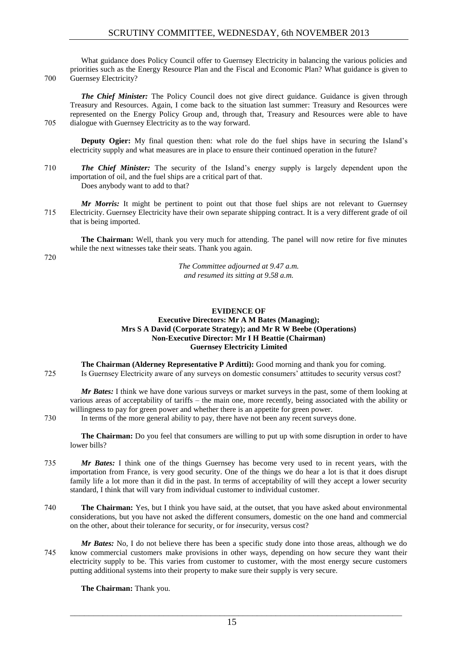What guidance does Policy Council offer to Guernsey Electricity in balancing the various policies and priorities such as the Energy Resource Plan and the Fiscal and Economic Plan? What guidance is given to 700 Guernsey Electricity?

*The Chief Minister:* The Policy Council does not give direct guidance. Guidance is given through Treasury and Resources. Again, I come back to the situation last summer: Treasury and Resources were represented on the Energy Policy Group and, through that, Treasury and Resources were able to have 705 dialogue with Guernsey Electricity as to the way forward.

**Deputy Ogier:** My final question then: what role do the fuel ships have in securing the Island's electricity supply and what measures are in place to ensure their continued operation in the future?

710 *The Chief Minister:* The security of the Island's energy supply is largely dependent upon the importation of oil, and the fuel ships are a critical part of that. Does anybody want to add to that?

*Mr Morris:* It might be pertinent to point out that those fuel ships are not relevant to Guernsey 715 Electricity. Guernsey Electricity have their own separate shipping contract. It is a very different grade of oil that is being imported.

**The Chairman:** Well, thank you very much for attending. The panel will now retire for five minutes while the next witnesses take their seats. Thank you again.

720

*The Committee adjourned at 9.47 a.m. and resumed its sitting at 9.58 a.m.*

## **EVIDENCE OF**

## **Executive Directors: Mr A M Bates (Managing); Mrs S A David (Corporate Strategy); and Mr R W Beebe (Operations) Non-Executive Director: Mr I H Beattie (Chairman) Guernsey Electricity Limited**

**The Chairman (Alderney Representative P Arditti):** Good morning and thank you for coming. 725 Is Guernsey Electricity aware of any surveys on domestic consumers' attitudes to security versus cost?

*Mr Bates:* I think we have done various surveys or market surveys in the past, some of them looking at various areas of acceptability of tariffs – the main one, more recently, being associated with the ability or willingness to pay for green power and whether there is an appetite for green power.

730 In terms of the more general ability to pay, there have not been any recent surveys done.

**The Chairman:** Do you feel that consumers are willing to put up with some disruption in order to have lower bills?

- 735 *Mr Bates:* I think one of the things Guernsey has become very used to in recent years, with the importation from France, is very good security. One of the things we do hear a lot is that it does disrupt family life a lot more than it did in the past. In terms of acceptability of will they accept a lower security standard, I think that will vary from individual customer to individual customer.
- 740 **The Chairman:** Yes, but I think you have said, at the outset, that you have asked about environmental considerations, but you have not asked the different consumers, domestic on the one hand and commercial on the other, about their tolerance for security, or for *in*security, versus cost?
- *Mr Bates:* No, I do not believe there has been a specific study done into those areas, although we do 745 know commercial customers make provisions in other ways, depending on how secure they want their electricity supply to be. This varies from customer to customer, with the most energy secure customers putting additional systems into their property to make sure their supply is very secure.

**The Chairman:** Thank you.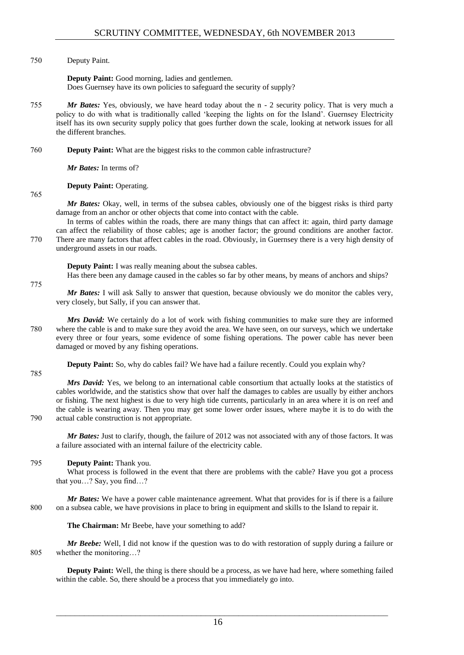## 750 Deputy Paint.

**Deputy Paint:** Good morning, ladies and gentlemen. Does Guernsey have its own policies to safeguard the security of supply?

- 755 *Mr Bates:* Yes, obviously, we have heard today about the n 2 security policy. That is very much a policy to do with what is traditionally called 'keeping the lights on for the Island'. Guernsey Electricity itself has its own security supply policy that goes further down the scale, looking at network issues for all the different branches.
- 760 **Deputy Paint:** What are the biggest risks to the common cable infrastructure?

*Mr Bates:* In terms of?

## **Deputy Paint:** Operating.

765

775

*Mr Bates:* Okay, well, in terms of the subsea cables, obviously one of the biggest risks is third party damage from an anchor or other objects that come into contact with the cable.

In terms of cables within the roads, there are many things that can affect it: again, third party damage can affect the reliability of those cables; age is another factor; the ground conditions are another factor. 770 There are many factors that affect cables in the road. Obviously, in Guernsey there is a very high density of underground assets in our roads.

**Deputy Paint:** I was really meaning about the subsea cables.

Has there been any damage caused in the cables so far by other means, by means of anchors and ships?

*Mr Bates:* I will ask Sally to answer that question, because obviously we do monitor the cables very, very closely, but Sally, if you can answer that.

*Mrs David:* We certainly do a lot of work with fishing communities to make sure they are informed 780 where the cable is and to make sure they avoid the area. We have seen, on our surveys, which we undertake every three or four years, some evidence of some fishing operations. The power cable has never been damaged or moved by any fishing operations.

**Deputy Paint:** So, why do cables fail? We have had a failure recently. Could you explain why?

785

*Mrs David:* Yes, we belong to an international cable consortium that actually looks at the statistics of cables worldwide, and the statistics show that over half the damages to cables are usually by either anchors or fishing. The next highest is due to very high tide currents, particularly in an area where it is on reef and the cable is wearing away. Then you may get some lower order issues, where maybe it is to do with the 790 actual cable construction is not appropriate.

*Mr Bates:* Just to clarify, though, the failure of 2012 was not associated with any of those factors. It was a failure associated with an internal failure of the electricity cable.

## 795 **Deputy Paint:** Thank you.

What process is followed in the event that there are problems with the cable? Have you got a process that you…? Say, you find…?

*Mr Bates:* We have a power cable maintenance agreement. What that provides for is if there is a failure 800 on a subsea cable, we have provisions in place to bring in equipment and skills to the Island to repair it.

**The Chairman:** Mr Beebe, have your something to add?

*Mr Beebe:* Well, I did not know if the question was to do with restoration of supply during a failure or 805 whether the monitoring…?

**Deputy Paint:** Well, the thing is there should be a process, as we have had here, where something failed within the cable. So, there should be a process that you immediately go into.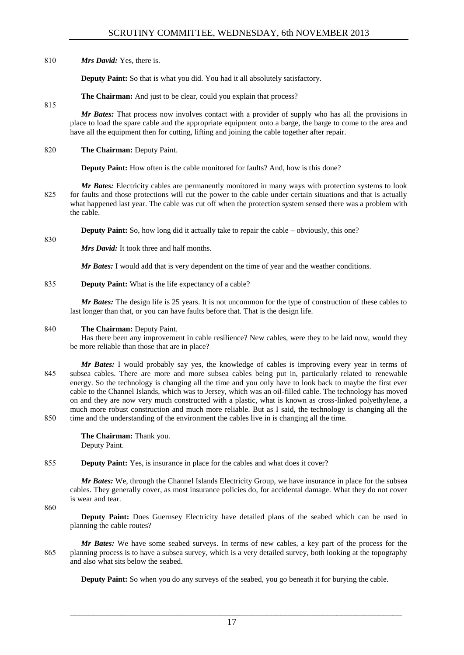810 *Mrs David:* Yes, there is.

**Deputy Paint:** So that is what you did. You had it all absolutely satisfactory.

**The Chairman:** And just to be clear, could you explain that process?

815

830

*Mr Bates:* That process now involves contact with a provider of supply who has all the provisions in place to load the spare cable and the appropriate equipment onto a barge, the barge to come to the area and have all the equipment then for cutting, lifting and joining the cable together after repair.

820 **The Chairman:** Deputy Paint.

**Deputy Paint:** How often is the cable monitored for faults? And, how is this done?

*Mr Bates:* Electricity cables are permanently monitored in many ways with protection systems to look 825 for faults and those protections will cut the power to the cable under certain situations and that is actually what happened last year. The cable was cut off when the protection system sensed there was a problem with the cable.

**Deputy Paint:** So, how long did it actually take to repair the cable – obviously, this one?

*Mrs David:* It took three and half months.

*Mr Bates:* I would add that is very dependent on the time of year and the weather conditions.

835 **Deputy Paint:** What is the life expectancy of a cable?

*Mr Bates:* The design life is 25 years. It is not uncommon for the type of construction of these cables to last longer than that, or you can have faults before that. That is the design life.

## 840 **The Chairman:** Deputy Paint.

Has there been any improvement in cable resilience? New cables, were they to be laid now, would they be more reliable than those that are in place?

*Mr Bates:* I would probably say yes, the knowledge of cables is improving every year in terms of 845 subsea cables. There are more and more subsea cables being put in, particularly related to renewable energy. So the technology is changing all the time and you only have to look back to maybe the first ever cable to the Channel Islands, which was to Jersey, which was an oil-filled cable. The technology has moved on and they are now very much constructed with a plastic, what is known as cross-linked polyethylene, a much more robust construction and much more reliable. But as I said, the technology is changing all the 850 time and the understanding of the environment the cables live in is changing all the time.

> **The Chairman:** Thank you. Deputy Paint.

## 855 **Deputy Paint:** Yes, is insurance in place for the cables and what does it cover?

*Mr Bates:* We, through the Channel Islands Electricity Group, we have insurance in place for the subsea cables. They generally cover, as most insurance policies do, for accidental damage. What they do not cover is wear and tear.

860

**Deputy Paint:** Does Guernsey Electricity have detailed plans of the seabed which can be used in planning the cable routes?

*Mr Bates:* We have some seabed surveys. In terms of new cables, a key part of the process for the 865 planning process is to have a subsea survey, which is a very detailed survey, both looking at the topography and also what sits below the seabed.

**Deputy Paint:** So when you do any surveys of the seabed, you go beneath it for burying the cable.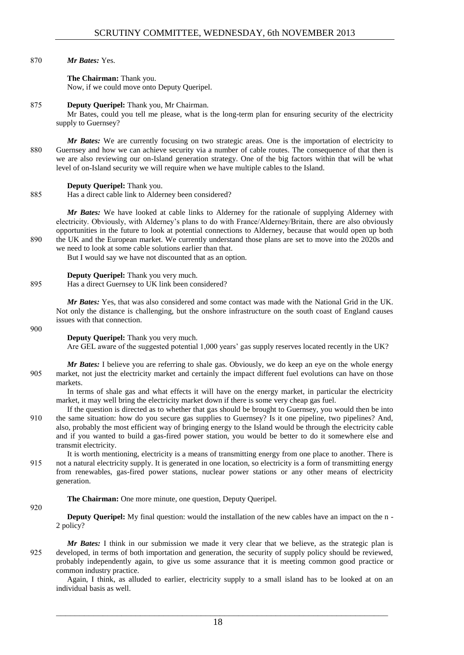870 *Mr Bates:* Yes.

**The Chairman:** Thank you. Now, if we could move onto Deputy Queripel.

## 875 **Deputy Queripel:** Thank you, Mr Chairman.

Mr Bates, could you tell me please, what is the long-term plan for ensuring security of the electricity supply to Guernsey?

*Mr Bates:* We are currently focusing on two strategic areas. One is the importation of electricity to 880 Guernsey and how we can achieve security via a number of cable routes. The consequence of that then is we are also reviewing our on-Island generation strategy. One of the big factors within that will be what level of on-Island security we will require when we have multiple cables to the Island.

## **Deputy Queripel:** Thank you.

885 Has a direct cable link to Alderney been considered?

*Mr Bates:* We have looked at cable links to Alderney for the rationale of supplying Alderney with electricity. Obviously, with Alderney's plans to do with France/Alderney/Britain, there are also obviously opportunities in the future to look at potential connections to Alderney, because that would open up both 890 the UK and the European market. We currently understand those plans are set to move into the 2020s and we need to look at some cable solutions earlier than that.

But I would say we have not discounted that as an option.

**Deputy Queripel:** Thank you very much.

895 Has a direct Guernsey to UK link been considered?

*Mr Bates:* Yes, that was also considered and some contact was made with the National Grid in the UK. Not only the distance is challenging, but the onshore infrastructure on the south coast of England causes issues with that connection.

#### 900

**Deputy Queripel:** Thank you very much.

Are GEL aware of the suggested potential 1,000 years' gas supply reserves located recently in the UK?

*Mr Bates:* I believe you are referring to shale gas. Obviously, we do keep an eye on the whole energy 905 market, not just the electricity market and certainly the impact different fuel evolutions can have on those markets.

In terms of shale gas and what effects it will have on the energy market, in particular the electricity market, it may well bring the electricity market down if there is some very cheap gas fuel.

If the question is directed as to whether that gas should be brought to Guernsey, you would then be into 910 the same situation: how do you secure gas supplies to Guernsey? Is it one pipeline, two pipelines? And, also, probably the most efficient way of bringing energy to the Island would be through the electricity cable and if you wanted to build a gas-fired power station, you would be better to do it somewhere else and transmit electricity.

It is worth mentioning, electricity is a means of transmitting energy from one place to another. There is 915 not a natural electricity supply. It is generated in one location, so electricity is a form of transmitting energy from renewables, gas-fired power stations, nuclear power stations or any other means of electricity generation.

## **The Chairman:** One more minute, one question, Deputy Queripel.

920

**Deputy Queripel:** My final question: would the installation of the new cables have an impact on the n -2 policy?

*Mr Bates:* I think in our submission we made it very clear that we believe, as the strategic plan is 925 developed, in terms of both importation and generation, the security of supply policy should be reviewed, probably independently again, to give us some assurance that it is meeting common good practice or common industry practice.

Again, I think, as alluded to earlier, electricity supply to a small island has to be looked at on an individual basis as well.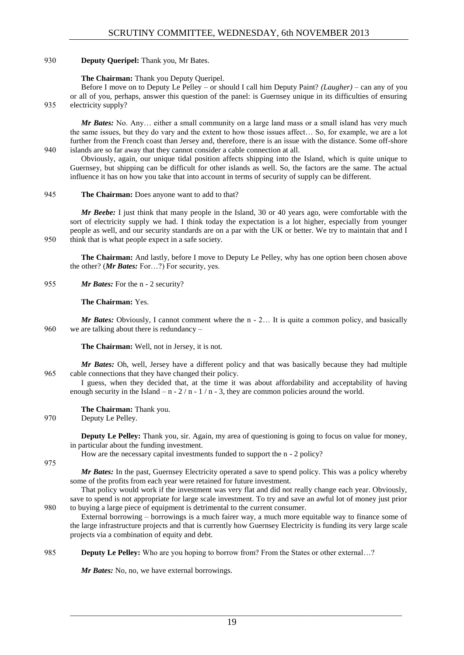## 930 **Deputy Queripel:** Thank you, Mr Bates.

#### **The Chairman:** Thank you Deputy Queripel.

Before I move on to Deputy Le Pelley – or should I call him Deputy Paint? *(Laugher)* – can any of you or all of you, perhaps, answer this question of the panel: is Guernsey unique in its difficulties of ensuring 935 electricity supply?

*Mr Bates:* No. Any... either a small community on a large land mass or a small island has very much the same issues, but they do vary and the extent to how those issues affect… So, for example, we are a lot further from the French coast than Jersey and, therefore, there is an issue with the distance. Some off-shore 940 islands are so far away that they cannot consider a cable connection at all.

Obviously, again, our unique tidal position affects shipping into the Island, which is quite unique to Guernsey, but shipping can be difficult for other islands as well. So, the factors are the same. The actual influence it has on how you take that into account in terms of security of supply can be different.

#### 945 **The Chairman:** Does anyone want to add to that?

*Mr Beebe:* I just think that many people in the Island, 30 or 40 years ago, were comfortable with the sort of electricity supply we had. I think today the expectation is a lot higher, especially from younger people as well, and our security standards are on a par with the UK or better. We try to maintain that and I 950 think that is what people expect in a safe society.

**The Chairman:** And lastly, before I move to Deputy Le Pelley, why has one option been chosen above the other? (*Mr Bates:* For…?) For security, yes.

955 *Mr Bates:* For the n - 2 security?

**The Chairman:** Yes.

*Mr Bates:* Obviously, I cannot comment where the n - 2... It is quite a common policy, and basically 960 we are talking about there is redundancy –

**The Chairman:** Well, not in Jersey, it is not.

*Mr Bates:* Oh, well, Jersey have a different policy and that was basically because they had multiple 965 cable connections that they have changed their policy.

I guess, when they decided that, at the time it was about affordability and acceptability of having enough security in the Island – n -  $2/n - 1/n - 3$ , they are common policies around the world.

**The Chairman:** Thank you.

970 Deputy Le Pelley.

**Deputy Le Pelley:** Thank you, sir. Again, my area of questioning is going to focus on value for money, in particular about the funding investment.

How are the necessary capital investments funded to support the n - 2 policy?

975

*Mr Bates:* In the past, Guernsey Electricity operated a save to spend policy. This was a policy whereby some of the profits from each year were retained for future investment.

That policy would work if the investment was very flat and did not really change each year. Obviously, save to spend is not appropriate for large scale investment. To try and save an awful lot of money just prior 980 to buying a large piece of equipment is detrimental to the current consumer.

External borrowing – borrowings is a much fairer way, a much more equitable way to finance some of the large infrastructure projects and that is currently how Guernsey Electricity is funding its very large scale projects via a combination of equity and debt.

985 **Deputy Le Pelley:** Who are you hoping to borrow from? From the States or other external…?

*Mr Bates:* No, no, we have external borrowings.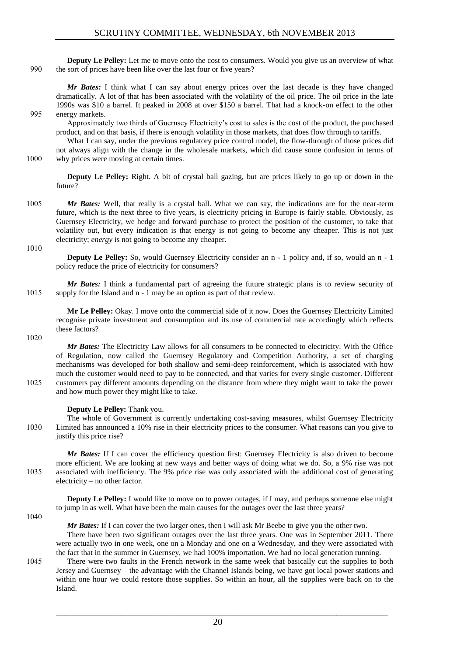**Deputy Le Pelley:** Let me to move onto the cost to consumers. Would you give us an overview of what 990 the sort of prices have been like over the last four or five years?

*Mr Bates:* I think what I can say about energy prices over the last decade is they have changed dramatically. A lot of that has been associated with the volatility of the oil price. The oil price in the late 1990s was \$10 a barrel. It peaked in 2008 at over \$150 a barrel. That had a knock-on effect to the other 995 energy markets.

Approximately two thirds of Guernsey Electricity's cost to sales is the cost of the product, the purchased product, and on that basis, if there is enough volatility in those markets, that does flow through to tariffs.

What I can say, under the previous regulatory price control model, the flow-through of those prices did not always align with the change in the wholesale markets, which did cause some confusion in terms of 1000 why prices were moving at certain times.

**Deputy Le Pelley:** Right. A bit of crystal ball gazing, but are prices likely to go up or down in the future?

1005 *Mr Bates:* Well, that really is a crystal ball. What we can say, the indications are for the near-term future, which is the next three to five years, is electricity pricing in Europe is fairly stable. Obviously, as Guernsey Electricity, we hedge and forward purchase to protect the position of the customer, to take that volatility out, but every indication is that energy is not going to become any cheaper. This is not just electricity; *energy* is not going to become any cheaper.

1010

**Deputy Le Pelley:** So, would Guernsey Electricity consider an n - 1 policy and, if so, would an n - 1 policy reduce the price of electricity for consumers?

*Mr Bates:* I think a fundamental part of agreeing the future strategic plans is to review security of 1015 supply for the Island and n - 1 may be an option as part of that review.

**Mr Le Pelley:** Okay. I move onto the commercial side of it now. Does the Guernsey Electricity Limited recognise private investment and consumption and its use of commercial rate accordingly which reflects these factors?

1020

*Mr Bates:* The Electricity Law allows for all consumers to be connected to electricity. With the Office of Regulation, now called the Guernsey Regulatory and Competition Authority, a set of charging mechanisms was developed for both shallow and semi-deep reinforcement, which is associated with how much the customer would need to pay to be connected, and that varies for every single customer. Different 1025 customers pay different amounts depending on the distance from where they might want to take the power and how much power they might like to take.

## **Deputy Le Pelley:** Thank you.

The whole of Government is currently undertaking cost-saving measures, whilst Guernsey Electricity 1030 Limited has announced a 10% rise in their electricity prices to the consumer. What reasons can you give to justify this price rise?

*Mr Bates:* If I can cover the efficiency question first: Guernsey Electricity is also driven to become more efficient. We are looking at new ways and better ways of doing what we do. So, a 9% rise was not 1035 associated with inefficiency. The 9% price rise was only associated with the additional cost of generating electricity – no other factor.

**Deputy Le Pelley:** I would like to move on to power outages, if I may, and perhaps someone else might to jump in as well. What have been the main causes for the outages over the last three years?

1040

*Mr Bates:* If I can cover the two larger ones, then I will ask Mr Beebe to give you the other two.

There have been two significant outages over the last three years. One was in September 2011. There were actually two in one week, one on a Monday and one on a Wednesday, and they were associated with the fact that in the summer in Guernsey, we had 100% importation. We had no local generation running.

1045 There were two faults in the French network in the same week that basically cut the supplies to both Jersey and Guernsey – the advantage with the Channel Islands being, we have got local power stations and within one hour we could restore those supplies. So within an hour, all the supplies were back on to the Island.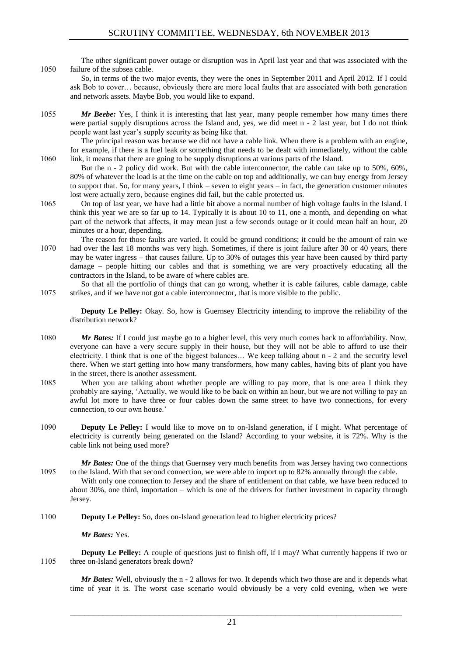The other significant power outage or disruption was in April last year and that was associated with the 1050 failure of the subsea cable.

So, in terms of the two major events, they were the ones in September 2011 and April 2012. If I could ask Bob to cover… because, obviously there are more local faults that are associated with both generation and network assets. Maybe Bob, you would like to expand.

1055 *Mr Beebe:* Yes, I think it is interesting that last year, many people remember how many times there were partial supply disruptions across the Island and, yes, we did meet n - 2 last year, but I do not think people want last year's supply security as being like that.

The principal reason was because we did not have a cable link. When there is a problem with an engine, for example, if there is a fuel leak or something that needs to be dealt with immediately, without the cable 1060 link, it means that there are going to be supply disruptions at various parts of the Island.

- But the n 2 policy did work. But with the cable interconnector, the cable can take up to 50%, 60%, 80% of whatever the load is at the time on the cable on top and additionally, we can buy energy from Jersey to support that. So, for many years, I think – seven to eight years – in fact, the generation customer minutes lost were actually zero, because engines did fail, but the cable protected us.
- 1065 On top of last year, we have had a little bit above a normal number of high voltage faults in the Island. I think this year we are so far up to 14. Typically it is about 10 to 11, one a month, and depending on what part of the network that affects, it may mean just a few seconds outage or it could mean half an hour, 20 minutes or a hour, depending.
- The reason for those faults are varied. It could be ground conditions; it could be the amount of rain we 1070 had over the last 18 months was very high. Sometimes, if there is joint failure after 30 or 40 years, there may be water ingress – that causes failure. Up to 30% of outages this year have been caused by third party damage – people hitting our cables and that is something we are very proactively educating all the contractors in the Island, to be aware of where cables are.
- So that all the portfolio of things that can go wrong, whether it is cable failures, cable damage, cable 1075 strikes, and if we have not got a cable interconnector, that is more visible to the public.

**Deputy Le Pelley:** Okay. So, how is Guernsey Electricity intending to improve the reliability of the distribution network?

- 1080 *Mr Bates:* If I could just maybe go to a higher level, this very much comes back to affordability. Now, everyone can have a very secure supply in their house, but they will not be able to afford to use their electricity. I think that is one of the biggest balances… We keep talking about n - 2 and the security level there. When we start getting into how many transformers, how many cables, having bits of plant you have in the street, there is another assessment.
- 1085 When you are talking about whether people are willing to pay more, that is one area I think they probably are saying, 'Actually, we would like to be back on within an hour, but we are not willing to pay an awful lot more to have three or four cables down the same street to have two connections, for every connection, to our own house.'
- 1090 **Deputy Le Pelley:** I would like to move on to on-Island generation, if I might. What percentage of electricity is currently being generated on the Island? According to your website, it is 72%. Why is the cable link not being used more?

*Mr Bates:* One of the things that Guernsey very much benefits from was Jersey having two connections 1095 to the Island. With that second connection, we were able to import up to 82% annually through the cable.

With only one connection to Jersey and the share of entitlement on that cable, we have been reduced to about 30%, one third, importation – which is one of the drivers for further investment in capacity through Jersey.

1100 **Deputy Le Pelley:** So, does on-Island generation lead to higher electricity prices?

*Mr Bates:* Yes.

**Deputy Le Pelley:** A couple of questions just to finish off, if I may? What currently happens if two or 1105 three on-Island generators break down?

*Mr Bates:* Well, obviously the n - 2 allows for two. It depends which two those are and it depends what time of year it is. The worst case scenario would obviously be a very cold evening, when we were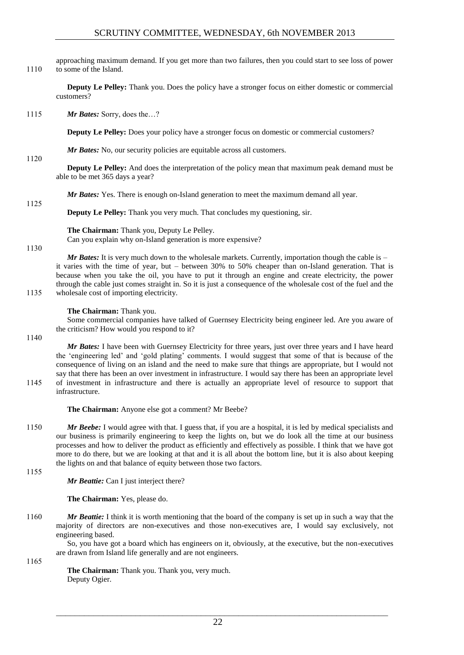approaching maximum demand. If you get more than two failures, then you could start to see loss of power 1110 to some of the Island.

**Deputy Le Pelley:** Thank you. Does the policy have a stronger focus on either domestic or commercial customers?

1115 *Mr Bates:* Sorry, does the…?

**Deputy Le Pelley:** Does your policy have a stronger focus on domestic or commercial customers?

*Mr Bates:* No, our security policies are equitable across all customers.

#### 1120

1125

**Deputy Le Pelley:** And does the interpretation of the policy mean that maximum peak demand must be able to be met 365 days a year?

*Mr Bates:* Yes. There is enough on-Island generation to meet the maximum demand all year.

**Deputy Le Pelley:** Thank you very much. That concludes my questioning, sir.

**The Chairman:** Thank you, Deputy Le Pelley.

Can you explain why on-Island generation is more expensive?

#### 1130

*Mr Bates:* It is very much down to the wholesale markets. Currently, importation though the cable is – it varies with the time of year, but – between 30% to 50% cheaper than on-Island generation. That is because when you take the oil, you have to put it through an engine and create electricity, the power through the cable just comes straight in. So it is just a consequence of the wholesale cost of the fuel and the 1135 wholesale cost of importing electricity.

## **The Chairman:** Thank you.

Some commercial companies have talked of Guernsey Electricity being engineer led. Are you aware of the criticism? How would you respond to it?

1140

*Mr Bates:* I have been with Guernsey Electricity for three years, just over three years and I have heard the 'engineering led' and 'gold plating' comments. I would suggest that some of that is because of the consequence of living on an island and the need to make sure that things are appropriate, but I would not say that there has been an over investment in infrastructure. I would say there has been an appropriate level 1145 of investment in infrastructure and there is actually an appropriate level of resource to support that infrastructure.

**The Chairman:** Anyone else got a comment? Mr Beebe?

1150 *Mr Beebe:* I would agree with that. I guess that, if you are a hospital, it is led by medical specialists and our business is primarily engineering to keep the lights on, but we do look all the time at our business processes and how to deliver the product as efficiently and effectively as possible. I think that we have got more to do there, but we are looking at that and it is all about the bottom line, but it is also about keeping the lights on and that balance of equity between those two factors.

1155

*Mr Beattie:* Can I just interject there?

**The Chairman:** Yes, please do.

1160 *Mr Beattie:* I think it is worth mentioning that the board of the company is set up in such a way that the majority of directors are non-executives and those non-executives are, I would say exclusively, not engineering based.

So, you have got a board which has engineers on it, obviously, at the executive, but the non-executives are drawn from Island life generally and are not engineers.

1165

**The Chairman:** Thank you. Thank you, very much. Deputy Ogier.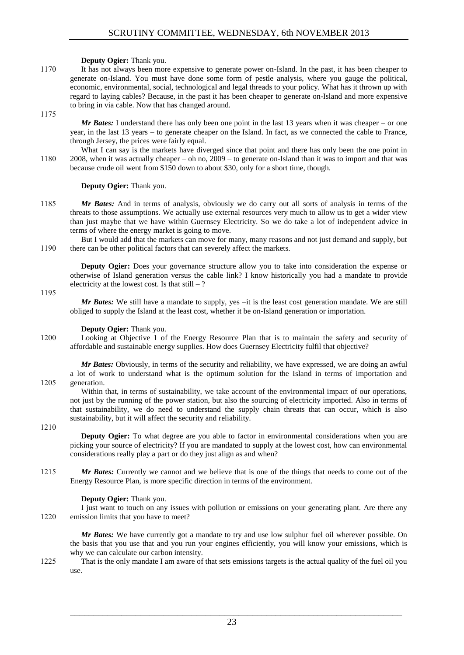#### **Deputy Ogier:** Thank you.

1170 It has not always been more expensive to generate power on-Island. In the past, it has been cheaper to generate on-Island. You must have done some form of pestle analysis, where you gauge the political, economic, environmental, social, technological and legal threads to your policy. What has it thrown up with regard to laying cables? Because, in the past it has been cheaper to generate on-Island and more expensive to bring in via cable. Now that has changed around.

1175

*Mr Bates:* I understand there has only been one point in the last 13 years when it was cheaper – or one year, in the last 13 years – to generate cheaper on the Island. In fact, as we connected the cable to France, through Jersey, the prices were fairly equal.

What I can say is the markets have diverged since that point and there has only been the one point in 1180 2008, when it was actually cheaper – oh no, 2009 – to generate on-Island than it was to import and that was because crude oil went from \$150 down to about \$30, only for a short time, though.

#### **Deputy Ogier:** Thank you.

1185 *Mr Bates:* And in terms of analysis, obviously we do carry out all sorts of analysis in terms of the threats to those assumptions. We actually use external resources very much to allow us to get a wider view than just maybe that we have within Guernsey Electricity. So we do take a lot of independent advice in terms of where the energy market is going to move.

But I would add that the markets can move for many, many reasons and not just demand and supply, but 1190 there can be other political factors that can severely affect the markets.

**Deputy Ogier:** Does your governance structure allow you to take into consideration the expense or otherwise of Island generation versus the cable link? I know historically you had a mandate to provide electricity at the lowest cost. Is that  $still - ?$ 

1195

*Mr Bates:* We still have a mandate to supply, yes -it is the least cost generation mandate. We are still obliged to supply the Island at the least cost, whether it be on-Island generation or importation.

#### **Deputy Ogier:** Thank you.

1200 Looking at Objective 1 of the Energy Resource Plan that is to maintain the safety and security of affordable and sustainable energy supplies. How does Guernsey Electricity fulfil that objective?

*Mr Bates:* Obviously, in terms of the security and reliability, we have expressed, we are doing an awful a lot of work to understand what is the optimum solution for the Island in terms of importation and 1205 generation.

Within that, in terms of sustainability, we take account of the environmental impact of our operations, not just by the running of the power station, but also the sourcing of electricity imported. Also in terms of that sustainability, we do need to understand the supply chain threats that can occur, which is also sustainability, but it will affect the security and reliability.

#### 1210

**Deputy Ogier:** To what degree are you able to factor in environmental considerations when you are picking your source of electricity? If you are mandated to supply at the lowest cost, how can environmental considerations really play a part or do they just align as and when?

1215 *Mr Bates:* Currently we cannot and we believe that is one of the things that needs to come out of the Energy Resource Plan, is more specific direction in terms of the environment.

## **Deputy Ogier:** Thank you.

I just want to touch on any issues with pollution or emissions on your generating plant. Are there any 1220 emission limits that you have to meet?

*Mr Bates:* We have currently got a mandate to try and use low sulphur fuel oil wherever possible. On the basis that you use that and you run your engines efficiently, you will know your emissions, which is why we can calculate our carbon intensity.

1225 That is the only mandate I am aware of that sets emissions targets is the actual quality of the fuel oil you use.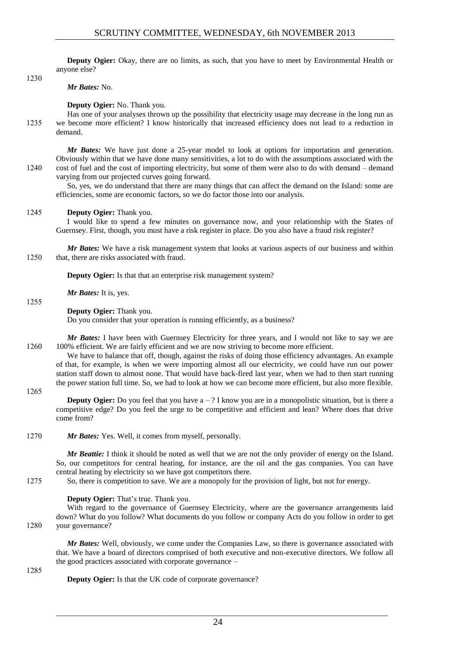**Deputy Ogier:** Okay, there are no limits, as such, that you have to meet by Environmental Health or anyone else?

1230

*Mr Bates:* No.

**Deputy Ogier:** No. Thank you.

Has one of your analyses thrown up the possibility that electricity usage may decrease in the long run as 1235 we become more efficient? I know historically that increased efficiency does not lead to a reduction in demand.

*Mr Bates:* We have just done a 25-year model to look at options for importation and generation. Obviously within that we have done many sensitivities, a lot to do with the assumptions associated with the 1240 cost of fuel and the cost of importing electricity, but some of them were also to do with demand – demand varying from our projected curves going forward.

So, yes, we do understand that there are many things that can affect the demand on the Island: some are efficiencies, some are economic factors, so we do factor those into our analysis.

## 1245 **Deputy Ogier:** Thank you.

I would like to spend a few minutes on governance now, and your relationship with the States of Guernsey. First, though, you must have a risk register in place. Do you also have a fraud risk register?

*Mr Bates:* We have a risk management system that looks at various aspects of our business and within 1250 that, there are risks associated with fraud.

**Deputy Ogier:** Is that that an enterprise risk management system?

*Mr Bates:* It is, yes.

## **Deputy Ogier:** Thank you.

Do you consider that your operation is running efficiently, as a business?

*Mr Bates:* I have been with Guernsey Electricity for three years, and I would not like to say we are 1260 100% efficient. We are fairly efficient and we are now striving to become more efficient.

We have to balance that off, though, against the risks of doing those efficiency advantages. An example of that, for example, is when we were importing almost all our electricity, we could have run our power station staff down to almost none. That would have back-fired last year, when we had to then start running the power station full time. So, we had to look at how we can become more efficient, but also more flexible.

1265

1255

**Deputy Ogier:** Do you feel that you have  $a - ?$  I know you are in a monopolistic situation, but is there a competitive edge? Do you feel the urge to be competitive and efficient and lean? Where does that drive come from?

1270 *Mr Bates:* Yes. Well, it comes from myself, personally.

*Mr Beattie:* I think it should be noted as well that we are not the only provider of energy on the Island. So, our competitors for central heating, for instance, are the oil and the gas companies. You can have central heating by electricity so we have got competitors there.

1275 So, there is competition to save. We are a monopoly for the provision of light, but not for energy.

## **Deputy Ogier:** That's true. Thank you.

With regard to the governance of Guernsey Electricity, where are the governance arrangements laid down? What do you follow? What documents do you follow or company Acts do you follow in order to get 1280 your governance?

*Mr Bates:* Well, obviously, we come under the Companies Law, so there is governance associated with that. We have a board of directors comprised of both executive and non-executive directors. We follow all the good practices associated with corporate governance –

1285

**Deputy Ogier:** Is that the UK code of corporate governance?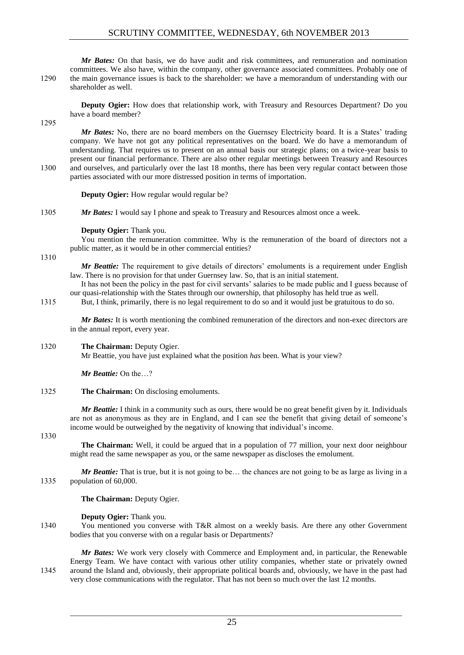## SCRUTINY COMMITTEE, WEDNESDAY, 6th NOVEMBER 2013

*Mr Bates:* On that basis, we do have audit and risk committees, and remuneration and nomination committees. We also have, within the company, other governance associated committees. Probably one of 1290 the main governance issues is back to the shareholder: we have a memorandum of understanding with our shareholder as well.

**Deputy Ogier:** How does that relationship work, with Treasury and Resources Department? Do you have a board member?

1295

*Mr Bates:* No, there are no board members on the Guernsey Electricity board. It is a States' trading company. We have not got any political representatives on the board. We do have a memorandum of understanding. That requires us to present on an annual basis our strategic plans; on a twice-year basis to present our financial performance. There are also other regular meetings between Treasury and Resources 1300 and ourselves, and particularly over the last 18 months, there has been very regular contact between those parties associated with our more distressed position in terms of importation.

**Deputy Ogier:** How regular would regular be?

1305 *Mr Bates:* I would say I phone and speak to Treasury and Resources almost once a week.

#### **Deputy Ogier:** Thank you.

You mention the remuneration committee. Why is the remuneration of the board of directors not a public matter, as it would be in other commercial entities?

1310

*Mr Beattie:* The requirement to give details of directors' emoluments is a requirement under English law. There is no provision for that under Guernsey law. So, that is an initial statement.

It has not been the policy in the past for civil servants' salaries to be made public and I guess because of our quasi-relationship with the States through our ownership, that philosophy has held true as well.

1315 But, I think, primarily, there is no legal requirement to do so and it would just be gratuitous to do so.

*Mr Bates:* It is worth mentioning the combined remuneration of the directors and non-exec directors are in the annual report, every year.

## 1320 **The Chairman:** Deputy Ogier.

Mr Beattie, you have just explained what the position *has* been. What is your view?

*Mr Beattie:* On the…?

## 1325 **The Chairman:** On disclosing emoluments.

*Mr Beattie:* I think in a community such as ours, there would be no great benefit given by it. Individuals are not as anonymous as they are in England, and I can see the benefit that giving detail of someone's income would be outweighed by the negativity of knowing that individual's income.

#### 1330

**The Chairman:** Well, it could be argued that in a population of 77 million, your next door neighbour might read the same newspaper as you, or the same newspaper as discloses the emolument.

*Mr Beattie:* That is true, but it is not going to be... the chances are not going to be as large as living in a 1335 population of 60,000.

**The Chairman:** Deputy Ogier.

#### **Deputy Ogier:** Thank you.

1340 You mentioned you converse with T&R almost on a weekly basis. Are there any other Government bodies that you converse with on a regular basis or Departments?

*Mr Bates:* We work very closely with Commerce and Employment and, in particular, the Renewable Energy Team. We have contact with various other utility companies, whether state or privately owned 1345 around the Island and, obviously, their appropriate political boards and, obviously, we have in the past had very close communications with the regulator. That has not been so much over the last 12 months.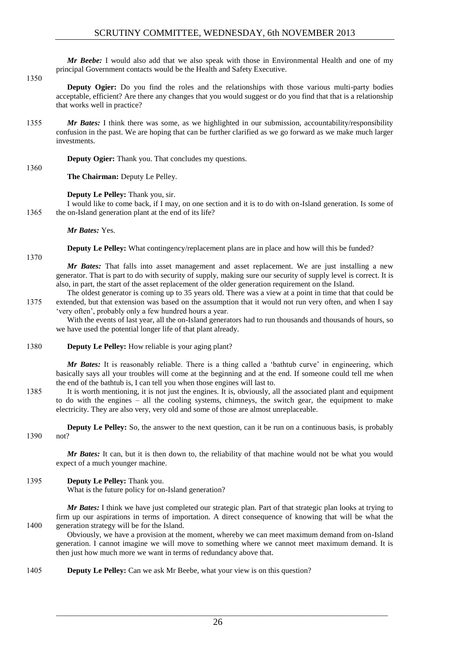*Mr Beebe:* I would also add that we also speak with those in Environmental Health and one of my principal Government contacts would be the Health and Safety Executive.

#### 1350

1360

**Deputy Ogier:** Do you find the roles and the relationships with those various multi-party bodies acceptable, efficient? Are there any changes that you would suggest or do you find that that is a relationship that works well in practice?

1355 *Mr Bates:* I think there was some, as we highlighted in our submission, accountability/responsibility confusion in the past. We are hoping that can be further clarified as we go forward as we make much larger investments.

**Deputy Ogier:** Thank you. That concludes my questions.

**The Chairman:** Deputy Le Pelley.

**Deputy Le Pelley:** Thank you, sir.

I would like to come back, if I may, on one section and it is to do with on-Island generation. Is some of 1365 the on-Island generation plant at the end of its life?

*Mr Bates:* Yes.

**Deputy Le Pelley:** What contingency/replacement plans are in place and how will this be funded?

1370

*Mr Bates:* That falls into asset management and asset replacement. We are just installing a new generator. That is part to do with security of supply, making sure our security of supply level is correct. It is also, in part, the start of the asset replacement of the older generation requirement on the Island. The oldest generator is coming up to 35 years old. There was a view at a point in time that that could be

1375 extended, but that extension was based on the assumption that it would not run very often, and when I say 'very often', probably only a few hundred hours a year.

With the events of last year, all the on-Island generators had to run thousands and thousands of hours, so we have used the potential longer life of that plant already.

1380 **Deputy Le Pelley:** How reliable is your aging plant?

*Mr Bates:* It is reasonably reliable. There is a thing called a 'bathtub curve' in engineering, which basically says all your troubles will come at the beginning and at the end. If someone could tell me when the end of the bathtub is, I can tell you when those engines will last to.

1385 It is worth mentioning, it is not just the engines. It is, obviously, all the associated plant and equipment to do with the engines – all the cooling systems, chimneys, the switch gear, the equipment to make electricity. They are also very, very old and some of those are almost unreplaceable.

**Deputy Le Pelley:** So, the answer to the next question, can it be run on a continuous basis, is probably 1390 not?

*Mr Bates:* It can, but it is then down to, the reliability of that machine would not be what you would expect of a much younger machine.

## 1395 **Deputy Le Pelley:** Thank you.

What is the future policy for on-Island generation?

*Mr Bates:* I think we have just completed our strategic plan. Part of that strategic plan looks at trying to firm up our aspirations in terms of importation. A direct consequence of knowing that will be what the 1400 generation strategy will be for the Island.

Obviously, we have a provision at the moment, whereby we can meet maximum demand from on-Island generation. I cannot imagine we will move to something where we cannot meet maximum demand. It is then just how much more we want in terms of redundancy above that.

1405 **Deputy Le Pelley:** Can we ask Mr Beebe, what your view is on this question?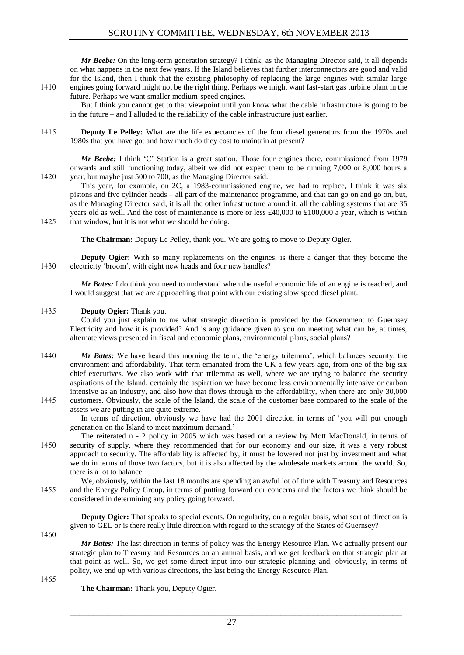*Mr Beebe:* On the long-term generation strategy? I think, as the Managing Director said, it all depends on what happens in the next few years. If the Island believes that further interconnectors are good and valid for the Island, then I think that the existing philosophy of replacing the large engines with similar large 1410 engines going forward might not be the right thing. Perhaps we might want fast-start gas turbine plant in the future. Perhaps we want smaller medium-speed engines.

But I think you cannot get to that viewpoint until you know what the cable infrastructure is going to be in the future – and I alluded to the reliability of the cable infrastructure just earlier.

1415 **Deputy Le Pelley:** What are the life expectancies of the four diesel generators from the 1970s and 1980s that you have got and how much do they cost to maintain at present?

*Mr Beebe:* I think 'C' Station is a great station. Those four engines there, commissioned from 1979 onwards and still functioning today, albeit we did not expect them to be running 7,000 or 8,000 hours a 1420 vear, but maybe just 500 to 700, as the Managing Director said.

This year, for example, on 2C, a 1983-commissioned engine, we had to replace, I think it was six pistons and five cylinder heads – all part of the maintenance programme, and that can go on and go on, but, as the Managing Director said, it is all the other infrastructure around it, all the cabling systems that are 35 years old as well. And the cost of maintenance is more or less £40,000 to £100,000 a year, which is within 1425 that window, but it is not what we should be doing.

**The Chairman:** Deputy Le Pelley, thank you. We are going to move to Deputy Ogier.

**Deputy Ogier:** With so many replacements on the engines, is there a danger that they become the 1430 electricity 'broom', with eight new heads and four new handles?

*Mr Bates:* I do think you need to understand when the useful economic life of an engine is reached, and I would suggest that we are approaching that point with our existing slow speed diesel plant.

## 1435 **Deputy Ogier:** Thank you.

Could you just explain to me what strategic direction is provided by the Government to Guernsey Electricity and how it is provided? And is any guidance given to you on meeting what can be, at times, alternate views presented in fiscal and economic plans, environmental plans, social plans?

- 1440 *Mr Bates:* We have heard this morning the term, the 'energy trilemma', which balances security, the environment and affordability. That term emanated from the UK a few years ago, from one of the big six chief executives. We also work with that trilemma as well, where we are trying to balance the security aspirations of the Island, certainly the aspiration we have become less environmentally intensive or carbon intensive as an industry, and also how that flows through to the affordability, when there are only 30,000 1445 customers. Obviously, the scale of the Island, the scale of the customer base compared to the scale of the
- assets we are putting in are quite extreme.

In terms of direction, obviously we have had the 2001 direction in terms of 'you will put enough generation on the Island to meet maximum demand.'

The reiterated n - 2 policy in 2005 which was based on a review by Mott MacDonald, in terms of 1450 security of supply, where they recommended that for our economy and our size, it was a very robust approach to security. The affordability is affected by, it must be lowered not just by investment and what we do in terms of those two factors, but it is also affected by the wholesale markets around the world. So, there is a lot to balance.

We, obviously, within the last 18 months are spending an awful lot of time with Treasury and Resources 1455 and the Energy Policy Group, in terms of putting forward our concerns and the factors we think should be considered in determining any policy going forward.

**Deputy Ogier:** That speaks to special events. On regularity, on a regular basis, what sort of direction is given to GEL or is there really little direction with regard to the strategy of the States of Guernsey?

1460

*Mr Bates:* The last direction in terms of policy was the Energy Resource Plan. We actually present our strategic plan to Treasury and Resources on an annual basis, and we get feedback on that strategic plan at that point as well. So, we get some direct input into our strategic planning and, obviously, in terms of policy, we end up with various directions, the last being the Energy Resource Plan.

1465

**The Chairman:** Thank you, Deputy Ogier.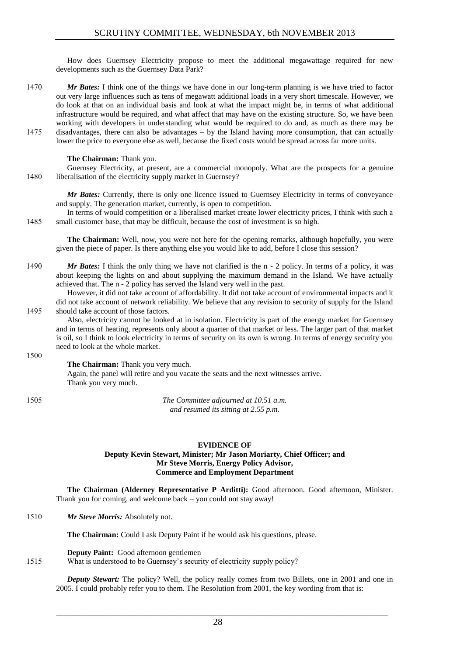How does Guernsey Electricity propose to meet the additional megawattage required for new developments such as the Guernsey Data Park?

1470 *Mr Bates:* I think one of the things we have done in our long-term planning is we have tried to factor out very large influences such as tens of megawatt additional loads in a very short timescale. However, we do look at that on an individual basis and look at what the impact might be, in terms of what additional infrastructure would be required, and what affect that may have on the existing structure. So, we have been working with developers in understanding what would be required to do and, as much as there may be 1475 disadvantages, there can also be advantages – by the Island having more consumption, that can actually lower the price to everyone else as well, because the fixed costs would be spread across far more units.

## **The Chairman:** Thank you.

Guernsey Electricity, at present, are a commercial monopoly. What are the prospects for a genuine 1480 liberalisation of the electricity supply market in Guernsey?

*Mr Bates:* Currently, there is only one licence issued to Guernsey Electricity in terms of conveyance and supply. The generation market, currently, is open to competition.

In terms of would competition or a liberalised market create lower electricity prices, I think with such a 1485 small customer base, that may be difficult, because the cost of investment is so high.

**The Chairman:** Well, now, you were not here for the opening remarks, although hopefully, you were given the piece of paper. Is there anything else you would like to add, before I close this session?

1490 *Mr Bates:* I think the only thing we have not clarified is the n - 2 policy. In terms of a policy, it was about keeping the lights on and about supplying the maximum demand in the Island. We have actually achieved that. The n - 2 policy has served the Island very well in the past.

However, it did not take account of affordability. It did not take account of environmental impacts and it did not take account of network reliability. We believe that any revision to security of supply for the Island 1495 should take account of those factors.

Also, electricity cannot be looked at in isolation. Electricity is part of the energy market for Guernsey and in terms of heating, represents only about a quarter of that market or less. The larger part of that market is oil, so I think to look electricity in terms of security on its own is wrong. In terms of energy security you need to look at the whole market.

1500

**The Chairman:** Thank you very much. Again, the panel will retire and you vacate the seats and the next witnesses arrive. Thank you very much.

1505 *The Committee adjourned at 10.51 a.m. and resumed its sitting at 2.55 p.m.*

#### **EVIDENCE OF Deputy Kevin Stewart, Minister; Mr Jason Moriarty, Chief Officer; and Mr Steve Morris, Energy Policy Advisor, Commerce and Employment Department**

**The Chairman (Alderney Representative P Arditti):** Good afternoon. Good afternoon, Minister. Thank you for coming, and welcome back – you could not stay away!

1510 *Mr Steve Morris:* Absolutely not.

**The Chairman:** Could I ask Deputy Paint if he would ask his questions, please.

**Deputy Paint:** Good afternoon gentlemen

1515 What is understood to be Guernsey's security of electricity supply policy?

*Deputy Stewart:* The policy? Well, the policy really comes from two Billets, one in 2001 and one in 2005. I could probably refer you to them. The Resolution from 2001, the key wording from that is: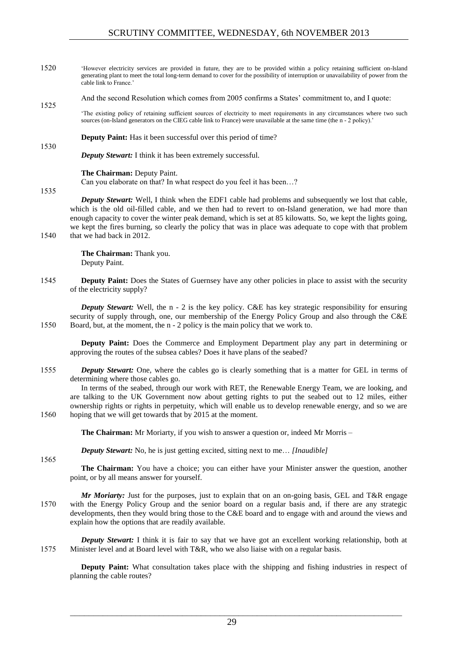- 1520 'However electricity services are provided in future, they are to be provided within a policy retaining sufficient on-Island generating plant to meet the total long-term demand to cover for the possibility of interruption or unavailability of power from the cable link to France.'
- And the second Resolution which comes from 2005 confirms a States' commitment to, and I quote: 1525
- 'The existing policy of retaining sufficient sources of electricity to meet requirements in any circumstances where two such sources (on-Island generators on the CIEG cable link to France) were unavailable at the same time (the n - 2 policy).'

**Deputy Paint:** Has it been successful over this period of time?

*Deputy Stewart:* I think it has been extremely successful.

#### **The Chairman:** Deputy Paint.

Can you elaborate on that? In what respect do you feel it has been…?

1535

1530

*Deputy Stewart:* Well, I think when the EDF1 cable had problems and subsequently we lost that cable, which is the old oil-filled cable, and we then had to revert to on-Island generation, we had more than enough capacity to cover the winter peak demand, which is set at 85 kilowatts. So, we kept the lights going, we kept the fires burning, so clearly the policy that was in place was adequate to cope with that problem 1540 that we had back in 2012.

> **The Chairman:** Thank you. Deputy Paint.

1545 **Deputy Paint:** Does the States of Guernsey have any other policies in place to assist with the security of the electricity supply?

*Deputy Stewart:* Well, the n - 2 is the key policy. C&E has key strategic responsibility for ensuring security of supply through, one, our membership of the Energy Policy Group and also through the C&E 1550 Board, but, at the moment, the n - 2 policy is the main policy that we work to.

**Deputy Paint:** Does the Commerce and Employment Department play any part in determining or approving the routes of the subsea cables? Does it have plans of the seabed?

1555 *Deputy Stewart:* One, where the cables go is clearly something that is a matter for GEL in terms of determining where those cables go.

In terms of the seabed, through our work with RET, the Renewable Energy Team, we are looking, and are talking to the UK Government now about getting rights to put the seabed out to 12 miles, either ownership rights or rights in perpetuity, which will enable us to develop renewable energy, and so we are 1560 hoping that we will get towards that by 2015 at the moment.

**The Chairman:** Mr Moriarty, if you wish to answer a question or, indeed Mr Morris –

*Deputy Stewart:* No, he is just getting excited, sitting next to me… *[Inaudible]*

1565

**The Chairman:** You have a choice; you can either have your Minister answer the question, another point, or by all means answer for yourself.

*Mr Moriarty:* Just for the purposes, just to explain that on an on-going basis, GEL and T&R engage 1570 with the Energy Policy Group and the senior board on a regular basis and, if there are any strategic developments, then they would bring those to the C&E board and to engage with and around the views and explain how the options that are readily available.

*Deputy Stewart:* I think it is fair to say that we have got an excellent working relationship, both at 1575 Minister level and at Board level with T&R, who we also liaise with on a regular basis.

**Deputy Paint:** What consultation takes place with the shipping and fishing industries in respect of planning the cable routes?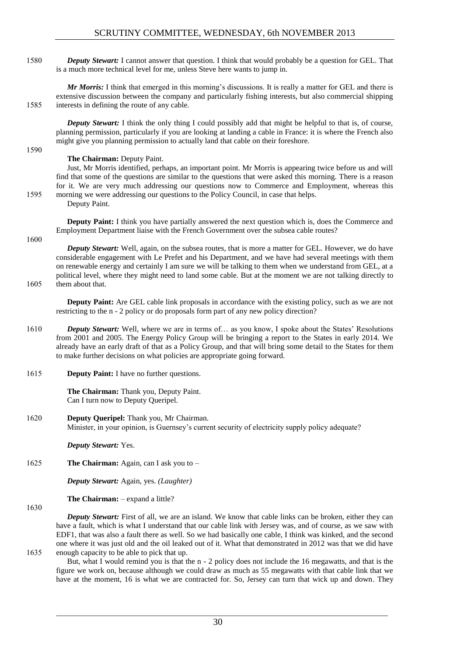1580 *Deputy Stewart:* I cannot answer that question. I think that would probably be a question for GEL. That is a much more technical level for me, unless Steve here wants to jump in.

*Mr Morris:* I think that emerged in this morning's discussions. It is really a matter for GEL and there is extensive discussion between the company and particularly fishing interests, but also commercial shipping 1585 interests in defining the route of any cable.

*Deputy Stewart:* I think the only thing I could possibly add that might be helpful to that is, of course, planning permission, particularly if you are looking at landing a cable in France: it is where the French also might give you planning permission to actually land that cable on their foreshore.

## **The Chairman:** Deputy Paint.

Just, Mr Morris identified, perhaps, an important point. Mr Morris is appearing twice before us and will find that some of the questions are similar to the questions that were asked this morning. There is a reason for it. We are very much addressing our questions now to Commerce and Employment, whereas this 1595 morning we were addressing our questions to the Policy Council, in case that helps. Deputy Paint.

**Deputy Paint:** I think you have partially answered the next question which is, does the Commerce and Employment Department liaise with the French Government over the subsea cable routes?

#### 1600

1590

*Deputy Stewart:* Well, again, on the subsea routes, that is more a matter for GEL. However, we do have considerable engagement with Le Prefet and his Department, and we have had several meetings with them on renewable energy and certainly I am sure we will be talking to them when we understand from GEL, at a political level, where they might need to land some cable. But at the moment we are not talking directly to

#### 1605 them about that.

**Deputy Paint:** Are GEL cable link proposals in accordance with the existing policy, such as we are not restricting to the n - 2 policy or do proposals form part of any new policy direction?

- 1610 *Deputy Stewart:* Well, where we are in terms of… as you know, I spoke about the States' Resolutions from 2001 and 2005. The Energy Policy Group will be bringing a report to the States in early 2014. We already have an early draft of that as a Policy Group, and that will bring some detail to the States for them to make further decisions on what policies are appropriate going forward.
- 1615 **Deputy Paint:** I have no further questions.

**The Chairman:** Thank you, Deputy Paint. Can I turn now to Deputy Queripel.

1620 **Deputy Queripel:** Thank you, Mr Chairman. Minister, in your opinion, is Guernsey's current security of electricity supply policy adequate?

*Deputy Stewart:* Yes.

1625 **The Chairman:** Again, can I ask you to –

*Deputy Stewart:* Again, yes. *(Laughter)*

**The Chairman:** – expand a little?

1630

*Deputy Stewart:* First of all, we are an island. We know that cable links can be broken, either they can have a fault, which is what I understand that our cable link with Jersey was, and of course, as we saw with EDF1, that was also a fault there as well. So we had basically one cable, I think was kinked, and the second one where it was just old and the oil leaked out of it. What that demonstrated in 2012 was that we did have 1635 enough capacity to be able to pick that up.

But, what I would remind you is that the n - 2 policy does not include the 16 megawatts, and that is the figure we work on, because although we could draw as much as 55 megawatts with that cable link that we have at the moment, 16 is what we are contracted for. So, Jersey can turn that wick up and down. They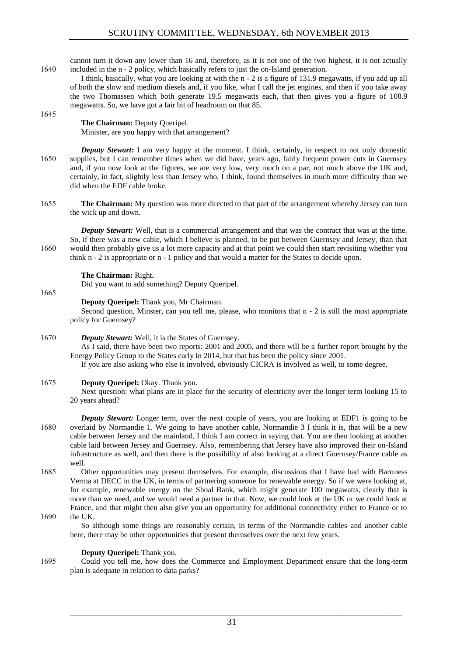cannot turn it down any lower than 16 and, therefore, as it is not one of the two highest, it is not actually 1640 included in the n - 2 policy, which basically refers to just the on-Island generation.

I think, basically, what you are looking at with the n - 2 is a figure of 131.9 megawatts, if you add up all of both the slow and medium diesels and, if you like, what I call the jet engines, and then if you take away the two Thomassen which both generate 19.5 megawatts each, that then gives you a figure of 108.9 megawatts. So, we have got a fair bit of headroom on that 85.

## **The Chairman:** Deputy Queripel. Minister, are you happy with that arrangement?

*Deputy Stewart:* I am very happy at the moment. I think, certainly, in respect to not only domestic 1650 supplies, but I can remember times when we did have, years ago, fairly frequent power cuts in Guernsey and, if you now look at the figures, we are very low, very much on a par, not much above the UK and, certainly, in fact, slightly less than Jersey who, I think, found themselves in much more difficulty than we did when the EDF cable broke.

1655 **The Chairman:** My question was more directed to that part of the arrangement whereby Jersey can turn the wick up and down.

*Deputy Stewart:* Well, that is a commercial arrangement and that was the contract that was at the time. So, if there was a new cable, which I believe is planned, to be put between Guernsey and Jersey, than that 1660 would then probably give us a lot more capacity and at that point we could then start revisiting whether you think n - 2 is appropriate or n - 1 policy and that would a matter for the States to decide upon.

**The Chairman:** Right**.** 

Did you want to add something? Deputy Queripel.

**Deputy Queripel:** Thank you, Mr Chairman.

Second question, Minster, can you tell me, please, who monitors that n - 2 is still the most appropriate policy for Guernsey?

1670 *Deputy Stewart:* Well, it is the States of Guernsey.

As I said, there have been two reports: 2001 and 2005, and there will be a further report brought by the Energy Policy Group to the States early in 2014, but that has been the policy since 2001.

If you are also asking who else is involved, obviously CICRA is involved as well, to some degree.

## 1675 **Deputy Queripel:** Okay. Thank you.

Next question: what plans are in place for the security of electricity over the longer term looking 15 to 20 years ahead?

- *Deputy Stewart:* Longer term, over the next couple of years, you are looking at EDF1 is going to be 1680 overlaid by Normandie 1. We going to have another cable, Normandie 3 I think it is, that will be a new cable between Jersey and the mainland. I think I am correct in saying that. You are then looking at another cable laid between Jersey and Guernsey. Also, remembering that Jersey have also improved their on-Island infrastructure as well, and then there is the possibility of also looking at a direct Guernsey/France cable as well.
- 1685 Other opportunities may present themselves. For example, discussions that I have had with Baroness Verma at DECC in the UK, in terms of partnering someone for renewable energy. So if we were looking at, for example, renewable energy on the Shoal Bank, which might generate 100 megawatts, clearly that is more than we need, and we would need a partner in that. Now, we could look at the UK or we could look at France, and that might then also give you an opportunity for additional connectivity either to France or to 1690 the UK.
- 

1645

1665

So although some things are reasonably certain, in terms of the Normandie cables and another cable here, there may be other opportunities that present themselves over the next few years.

## **Deputy Queripel:** Thank you.

1695 Could you tell me, how does the Commerce and Employment Department ensure that the long-term plan is adequate in relation to data parks?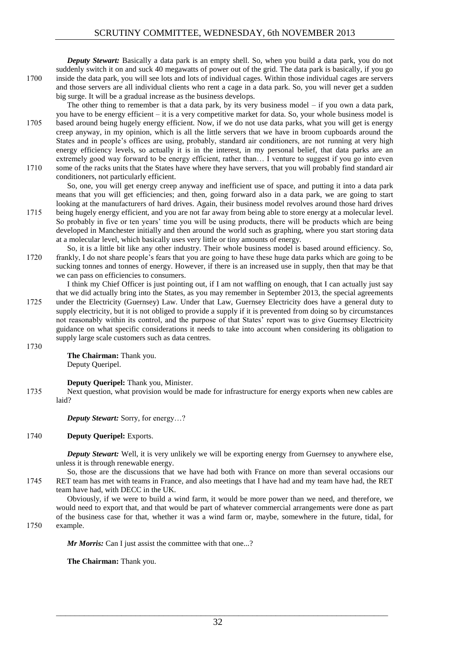*Deputy Stewart:* Basically a data park is an empty shell. So, when you build a data park, you do not suddenly switch it on and suck 40 megawatts of power out of the grid. The data park is basically, if you go 1700 inside the data park, you will see lots and lots of individual cages. Within those individual cages are servers and those servers are all individual clients who rent a cage in a data park. So, you will never get a sudden big surge. It will be a gradual increase as the business develops.

The other thing to remember is that a data park, by its very business model – if you own a data park, you have to be energy efficient – it is a very competitive market for data. So, your whole business model is 1705 based around being hugely energy efficient. Now, if we do not use data parks, what you will get is energy creep anyway, in my opinion, which is all the little servers that we have in broom cupboards around the States and in people's offices are using, probably, standard air conditioners, are not running at very high energy efficiency levels, so actually it is in the interest, in my personal belief, that data parks are an extremely good way forward to be energy efficient, rather than… I venture to suggest if you go into even 1710 some of the racks units that the States have where they have servers, that you will probably find standard air conditioners, not particularly efficient.

So, one, you will get energy creep anyway and inefficient use of space, and putting it into a data park means that you will get efficiencies; and then, going forward also in a data park, we are going to start looking at the manufacturers of hard drives. Again, their business model revolves around those hard drives 1715 being hugely energy efficient, and you are not far away from being able to store energy at a molecular level.

- So probably in five or ten years' time you will be using products, there will be products which are being developed in Manchester initially and then around the world such as graphing, where you start storing data at a molecular level, which basically uses very little or tiny amounts of energy.
- So, it is a little bit like any other industry. Their whole business model is based around efficiency. So, 1720 frankly, I do not share people's fears that you are going to have these huge data parks which are going to be sucking tonnes and tonnes of energy. However, if there is an increased use in supply, then that may be that we can pass on efficiencies to consumers.

I think my Chief Officer is just pointing out, if I am not waffling on enough, that I can actually just say that we did actually bring into the States, as you may remember in September 2013, the special agreements 1725 under the Electricity (Guernsey) Law. Under that Law, Guernsey Electricity does have a general duty to supply electricity, but it is not obliged to provide a supply if it is prevented from doing so by circumstances not reasonably within its control, and the purpose of that States' report was to give Guernsey Electricity guidance on what specific considerations it needs to take into account when considering its obligation to supply large scale customers such as data centres.

1730

**The Chairman:** Thank you. Deputy Queripel.

**Deputy Queripel:** Thank you, Minister.

1735 Next question, what provision would be made for infrastructure for energy exports when new cables are laid?

*Deputy Stewart:* Sorry, for energy…?

## 1740 **Deputy Queripel:** Exports.

*Deputy Stewart:* Well, it is very unlikely we will be exporting energy from Guernsey to anywhere else, unless it is through renewable energy.

So, those are the discussions that we have had both with France on more than several occasions our 1745 RET team has met with teams in France, and also meetings that I have had and my team have had, the RET team have had, with DECC in the UK.

Obviously, if we were to build a wind farm, it would be more power than we need, and therefore, we would need to export that, and that would be part of whatever commercial arrangements were done as part of the business case for that, whether it was a wind farm or, maybe, somewhere in the future, tidal, for

1750 example.

*Mr Morris:* Can I just assist the committee with that one...?

**The Chairman:** Thank you.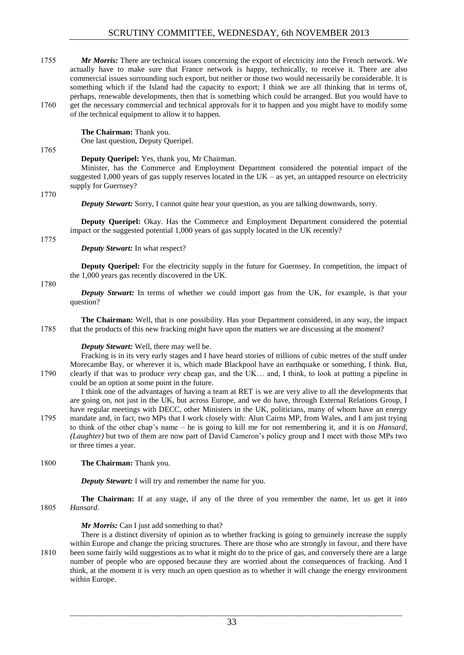1755 *Mr Morris:* There are technical issues concerning the export of electricity into the French network. We actually have to make sure that France network is happy, technically, to receive it. There are also commercial issues surrounding such export, but neither or those two would necessarily be considerable. It is something which if the Island had the capacity to export; I think we are all thinking that in terms of, perhaps, renewable developments, then that is something which could be arranged. But you would have to 1760 get the necessary commercial and technical approvals for it to happen and you might have to modify some of the technical equipment to allow it to happen.

## **The Chairman:** Thank you.

One last question, Deputy Queripel.

#### 1765

#### **Deputy Queripel:** Yes, thank you, Mr Chairman.

Minister, has the Commerce and Employment Department considered the potential impact of the suggested 1,000 years of gas supply reserves located in the UK – as yet, an untapped resource on electricity supply for Guernsey?

1770

*Deputy Stewart:* Sorry, I cannot quite hear your question, as you are talking downwards, sorry.

**Deputy Queripel:** Okay. Has the Commerce and Employment Department considered the potential impact or the suggested potential 1,000 years of gas supply located in the UK recently?

1775

## *Deputy Stewart:* In what respect?

**Deputy Queripel:** For the electricity supply in the future for Guernsey. In competition, the impact of the 1,000 years gas recently discovered in the UK.

1780

*Deputy Stewart:* In terms of whether we could import gas from the UK, for example, is that your question?

**The Chairman:** Well, that is one possibility. Has your Department considered, in any way, the impact 1785 that the products of this new fracking might have upon the matters we are discussing at the moment?

## *Deputy Stewart:* Well, there may well be.

Fracking is in its very early stages and I have heard stories of trillions of cubic metres of the stuff under Morecambe Bay, or wherever it is, which made Blackpool have an earthquake or something, I think. But, 1790 clearly if that was to produce *very* cheap gas, and the UK… and, I think, to look at putting a pipeline in could be an option at some point in the future.

I think one of the advantages of having a team at RET is we are very alive to all the developments that are going on, not just in the UK, but across Europe, and we do have, through External Relations Group, I have regular meetings with DECC, other Ministers in the UK, politicians, many of whom have an energy 1795 mandate and, in fact, two MPs that I work closely with: Alun Cairns MP, from Wales, and I am just trying to think of the other chap's name – he is going to kill me for not remembering it, and it is on *Hansard*, *(Laughter)* but two of them are now part of David Cameron's policy group and I meet with those MPs two or three times a year.

## 1800 **The Chairman:** Thank you.

*Deputy Stewart:* I will try and remember the name for you.

**The Chairman:** If at any stage, if any of the three of you remember the name, let us get it into 1805 *Hansard*.

## *Mr Morris:* Can I just add something to that?

There is a distinct diversity of opinion as to whether fracking is going to genuinely increase the supply within Europe and change the pricing structures. There are those who are strongly in favour, and there have 1810 been some fairly wild suggestions as to what it might do to the price of gas, and conversely there are a large number of people who are opposed because they are worried about the consequences of fracking. And I think, at the moment it is very much an open question as to whether it will change the energy environment within Europe.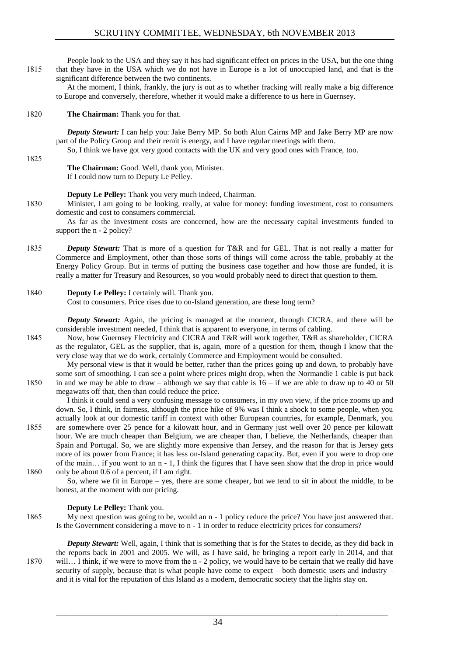People look to the USA and they say it has had significant effect on prices in the USA, but the one thing 1815 that they have in the USA which we do not have in Europe is a lot of unoccupied land, and that is the significant difference between the two continents.

At the moment, I think, frankly, the jury is out as to whether fracking will really make a big difference to Europe and conversely, therefore, whether it would make a difference to us here in Guernsey.

1820 **The Chairman:** Thank you for that.

*Deputy Stewart:* I can help you: Jake Berry MP. So both Alun Cairns MP and Jake Berry MP are now part of the Policy Group and their remit is energy, and I have regular meetings with them.

So, I think we have got very good contacts with the UK and very good ones with France, too.

## 1825

**The Chairman:** Good. Well, thank you, Minister. If I could now turn to Deputy Le Pelley.

**Deputy Le Pelley:** Thank you very much indeed, Chairman.

1830 Minister, I am going to be looking, really, at value for money: funding investment, cost to consumers domestic and cost to consumers commercial.

As far as the investment costs are concerned, how are the necessary capital investments funded to support the  $n - 2$  policy?

1835 *Deputy Stewart:* That is more of a question for T&R and for GEL. That is not really a matter for Commerce and Employment, other than those sorts of things will come across the table, probably at the Energy Policy Group. But in terms of putting the business case together and how those are funded, it is really a matter for Treasury and Resources, so you would probably need to direct that question to them.

## 1840 **Deputy Le Pelley:** I certainly will. Thank you.

Cost to consumers. Price rises due to on-Island generation, are these long term?

*Deputy Stewart:* Again, the pricing is managed at the moment, through CICRA, and there will be considerable investment needed, I think that is apparent to everyone, in terms of cabling.

1845 Now, how Guernsey Electricity and CICRA and T&R will work together, T&R as shareholder, CICRA as the regulator, GEL as the supplier, that is, again, more of a question for them, though I know that the very close way that we do work, certainly Commerce and Employment would be consulted.

My personal view is that it would be better, rather than the prices going up and down, to probably have some sort of smoothing. I can see a point where prices might drop, when the Normandie 1 cable is put back 1850 in and we may be able to draw – although we say that cable is 16 – if we are able to draw up to 40 or 50 megawatts off that, then than could reduce the price.

I think it could send a very confusing message to consumers, in my own view, if the price zooms up and down. So, I think, in fairness, although the price hike of 9% was I think a shock to some people, when you actually look at our domestic tariff in context with other European countries, for example, Denmark, you 1855 are somewhere over 25 pence for a kilowatt hour, and in Germany just well over 20 pence per kilowatt

- hour. We are much cheaper than Belgium, we are cheaper than, I believe, the Netherlands, cheaper than Spain and Portugal. So, we are slightly more expensive than Jersey, and the reason for that is Jersey gets more of its power from France; it has less on-Island generating capacity. But, even if you were to drop one of the main… if you went to an n - 1, I think the figures that I have seen show that the drop in price would 1860 only be about 0.6 of a percent, if I am right.
	- So, where we fit in Europe yes, there are some cheaper, but we tend to sit in about the middle, to be honest, at the moment with our pricing.

## **Deputy Le Pelley:** Thank you.

1865 My next question was going to be, would an n - 1 policy reduce the price? You have just answered that. Is the Government considering a move to n - 1 in order to reduce electricity prices for consumers?

*Deputy Stewart:* Well, again, I think that is something that is for the States to decide, as they did back in the reports back in 2001 and 2005. We will, as I have said, be bringing a report early in 2014, and that 1870 will… I think, if we were to move from the n - 2 policy, we would have to be certain that we really did have security of supply, because that is what people have come to expect – both domestic users and industry – and it is vital for the reputation of this Island as a modern, democratic society that the lights stay on.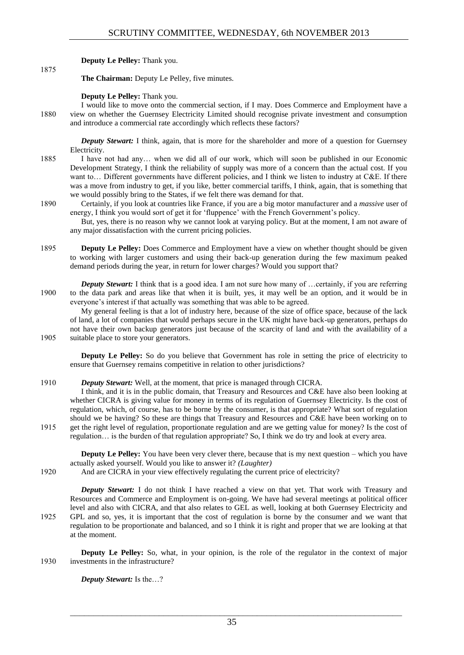**Deputy Le Pelley:** Thank you.

1875

**The Chairman:** Deputy Le Pelley, five minutes.

**Deputy Le Pelley:** Thank you.

I would like to move onto the commercial section, if I may. Does Commerce and Employment have a 1880 view on whether the Guernsey Electricity Limited should recognise private investment and consumption and introduce a commercial rate accordingly which reflects these factors?

*Deputy Stewart:* I think, again, that is more for the shareholder and more of a question for Guernsey Electricity.

- 1885 I have not had any… when we did all of our work, which will soon be published in our Economic Development Strategy, I think the reliability of supply was more of a concern than the actual cost. If you want to… Different governments have different policies, and I think we listen to industry at C&E. If there was a move from industry to get, if you like, better commercial tariffs, I think, again, that is something that we would possibly bring to the States, if we felt there was demand for that.
- 1890 Certainly, if you look at countries like France, if you are a big motor manufacturer and a *massive* user of energy, I think you would sort of get it for 'fluppence' with the French Government's policy.

But, yes, there is no reason why we cannot look at varying policy. But at the moment, I am not aware of any major dissatisfaction with the current pricing policies.

1895 **Deputy Le Pelley:** Does Commerce and Employment have a view on whether thought should be given to working with larger customers and using their back-up generation during the few maximum peaked demand periods during the year, in return for lower charges? Would you support that?

*Deputy Stewart:* I think that is a good idea. I am not sure how many of ...certainly, if you are referring 1900 to the data park and areas like that when it is built, yes, it may well be an option, and it would be in everyone's interest if that actually was something that was able to be agreed.

My general feeling is that a lot of industry here, because of the size of office space, because of the lack of land, a lot of companies that would perhaps secure in the UK might have back-up generators, perhaps do not have their own backup generators just because of the scarcity of land and with the availability of a 1905 suitable place to store your generators.

**Deputy Le Pelley:** So do you believe that Government has role in setting the price of electricity to ensure that Guernsey remains competitive in relation to other jurisdictions?

1910 *Deputy Stewart:* Well, at the moment, that price is managed through CICRA.

I think, and it is in the public domain, that Treasury and Resources and C&E have also been looking at whether CICRA is giving value for money in terms of its regulation of Guernsey Electricity. Is the cost of regulation, which, of course, has to be borne by the consumer, is that appropriate? What sort of regulation should we be having? So these are things that Treasury and Resources and C&E have been working on to 1915 get the right level of regulation, proportionate regulation and are we getting value for money? Is the cost of regulation… is the burden of that regulation appropriate? So, I think we do try and look at every area.

**Deputy Le Pelley:** You have been very clever there, because that is my next question – which you have actually asked yourself. Would you like to answer it? *(Laughter)*

1920 And are CICRA in your view effectively regulating the current price of electricity?

*Deputy Stewart:* I do not think I have reached a view on that yet. That work with Treasury and Resources and Commerce and Employment is on-going. We have had several meetings at political officer level and also with CICRA, and that also relates to GEL as well, looking at both Guernsey Electricity and 1925 GPL and so, yes, it is important that the cost of regulation is borne by the consumer and we want that regulation to be proportionate and balanced, and so I think it is right and proper that we are looking at that

**Deputy Le Pelley:** So, what, in your opinion, is the role of the regulator in the context of major 1930 investments in the infrastructure?

*Deputy Stewart:* Is the…?

at the moment.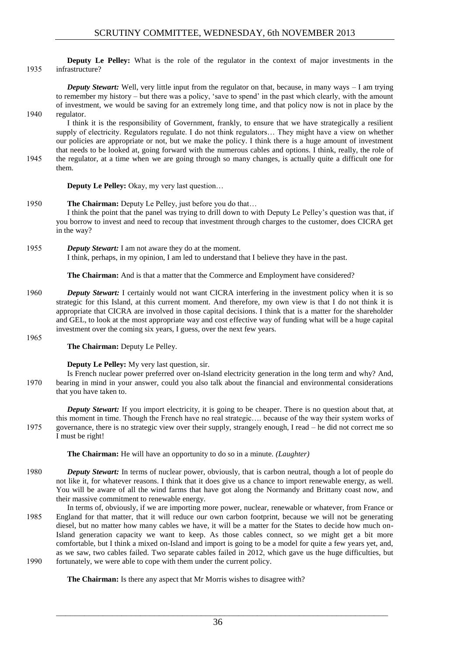## **Deputy Le Pelley:** What is the role of the regulator in the context of major investments in the 1935 infrastructure?

*Deputy Stewart:* Well, very little input from the regulator on that, because, in many ways – I am trying to remember my history – but there was a policy, 'save to spend' in the past which clearly, with the amount of investment, we would be saving for an extremely long time, and that policy now is not in place by the 1940 regulator.

I think it is the responsibility of Government, frankly, to ensure that we have strategically a resilient supply of electricity. Regulators regulate. I do not think regulators… They might have a view on whether our policies are appropriate or not, but we make the policy. I think there is a huge amount of investment that needs to be looked at, going forward with the numerous cables and options. I think, really, the role of 1945 the regulator, at a time when we are going through so many changes, is actually quite a difficult one for them.

**Deputy Le Pelley:** Okay, my very last question...

## 1950 **The Chairman:** Deputy Le Pelley, just before you do that… I think the point that the panel was trying to drill down to with Deputy Le Pelley's question was that, if you borrow to invest and need to recoup that investment through charges to the customer, does CICRA get in the way?

1955 *Deputy Stewart:* I am not aware they do at the moment. I think, perhaps, in my opinion, I am led to understand that I believe they have in the past.

**The Chairman:** And is that a matter that the Commerce and Employment have considered?

- 1960 **Deputy Stewart:** I certainly would not want CICRA interfering in the investment policy when it is so strategic for this Island, at this current moment. And therefore, my own view is that I do not think it is appropriate that CICRA are involved in those capital decisions. I think that is a matter for the shareholder and GEL, to look at the most appropriate way and cost effective way of funding what will be a huge capital investment over the coming six years, I guess, over the next few years.
- 1965

**The Chairman:** Deputy Le Pelley.

## **Deputy Le Pelley:** My very last question, sir.

Is French nuclear power preferred over on-Island electricity generation in the long term and why? And, 1970 bearing in mind in your answer, could you also talk about the financial and environmental considerations that you have taken to.

*Deputy Stewart:* If you import electricity, it is going to be cheaper. There is no question about that, at this moment in time. Though the French have no real strategic…. because of the way their system works of 1975 governance, there is no strategic view over their supply, strangely enough, I read – he did not correct me so I must be right!

**The Chairman:** He will have an opportunity to do so in a minute. *(Laughter)*

- 1980 *Deputy Stewart:* In terms of nuclear power, obviously, that is carbon neutral, though a lot of people do not like it, for whatever reasons. I think that it does give us a chance to import renewable energy, as well. You will be aware of all the wind farms that have got along the Normandy and Brittany coast now, and their massive commitment to renewable energy.
- In terms of, obviously, if we are importing more power, nuclear, renewable or whatever, from France or 1985 England for that matter, that it will reduce our own carbon footprint, because we will not be generating diesel, but no matter how many cables we have, it will be a matter for the States to decide how much on-Island generation capacity we want to keep. As those cables connect, so we might get a bit more comfortable, but I think a mixed on-Island and import is going to be a model for quite a few years yet, and, as we saw, two cables failed. Two separate cables failed in 2012, which gave us the huge difficulties, but 1990 fortunately, we were able to cope with them under the current policy.

**The Chairman:** Is there any aspect that Mr Morris wishes to disagree with?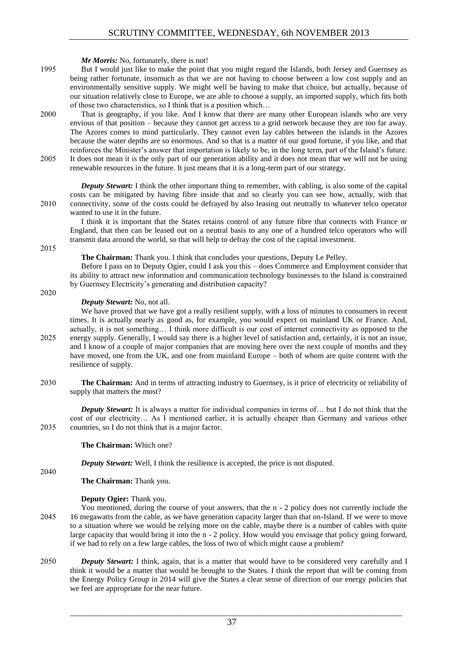*Mr Morris:* No, fortunately, there is not!

- 1995 But I would just like to make the point that you might regard the Islands, both Jersey and Guernsey as being rather fortunate, insomuch as that we are not having to choose between a low cost supply and an environmentally sensitive supply. We might well be having to make that choice, but actually, because of our situation relatively close to Europe, we are able to choose a supply, an imported supply, which fits both of those two characteristics, so I think that is a position which…
- 2000 That is geography, if you like. And I know that there are many other European islands who are very envious of that position – because they cannot get access to a grid network because they are too far away. The Azores comes to mind particularly. They cannot even lay cables between the islands in the Azores because the water depths are so enormous. And so that is a matter of our good fortune, if you like, and that reinforces the Minister's answer that importation is likely to be, in the long term, part of the Island's future. 2005 It does not mean it is the only part of our generation ability and it does not mean that we will not be using

renewable resources in the future. It just means that it is a long-term part of our strategy.

*Deputy Stewart:* I think the other important thing to remember, with cabling, is also some of the capital costs can be mitigated by having fibre inside that and so clearly you can see how, actually, with that 2010 connectivity, some of the costs could be defrayed by also leasing out neutrally to whatever telco operator wanted to use it in the future.

I think it is important that the States retains control of any future fibre that connects with France or England, that then can be leased out on a neutral basis to any one of a hundred telco operators who will transmit data around the world, so that will help to defray the cost of the capital investment.

2015

**The Chairman:** Thank you. I think that concludes your questions, Deputy Le Pelley.

Before I pass on to Deputy Ogier, could I ask you this – does Commerce and Employment consider that its ability to attract new information and communication technology businesses to the Island is constrained by Guernsey Electricity's generating and distribution capacity?

2020

## *Deputy Stewart:* No, not all.

We have proved that we have got a really resilient supply, with a loss of minutes to consumers in recent times. It is actually nearly as good as, for example, you would expect on mainland UK or France. And, actually, it is not something… I think more difficult is our cost of internet connectivity as opposed to the 2025 energy supply. Generally, I would say there is a higher level of satisfaction and, certainly, it is not an issue, and I know of a couple of major companies that are moving here over the next couple of months and they have moved, one from the UK, and one from mainland Europe – both of whom are quite content with the resilience of supply.

2030 **The Chairman:** And in terms of attracting industry to Guernsey, is it price of electricity or reliability of supply that matters the most?

*Deputy Stewart:* It is always a matter for individual companies in terms of... but I do not think that the cost of our electricity… As I mentioned earlier, it is actually cheaper than Germany and various other 2035 countries, so I do not think that is a major factor.

**The Chairman:** Which one?

*Deputy Stewart:* Well, I think the resilience is accepted, the price is not disputed.

2040

**The Chairman:** Thank you.

- You mentioned, during the course of your answers, that the n 2 policy does not currently include the 2045 16 megawatts from the cable, as we have generation capacity larger than that on-Island. If we were to move to a situation where we would be relying more on the cable, maybe there is a number of cables with quite large capacity that would bring it into the n - 2 policy. How would you envisage that policy going forward, if we had to rely on a few large cables, the loss of two of which might cause a problem?
- 2050 *Deputy Stewart:* I think, again, that is a matter that would have to be considered very carefully and I think it would be a matter that would be brought to the States. I think the report that will be coming from the Energy Policy Group in 2014 will give the States a clear sense of direction of our energy policies that we feel are appropriate for the near future.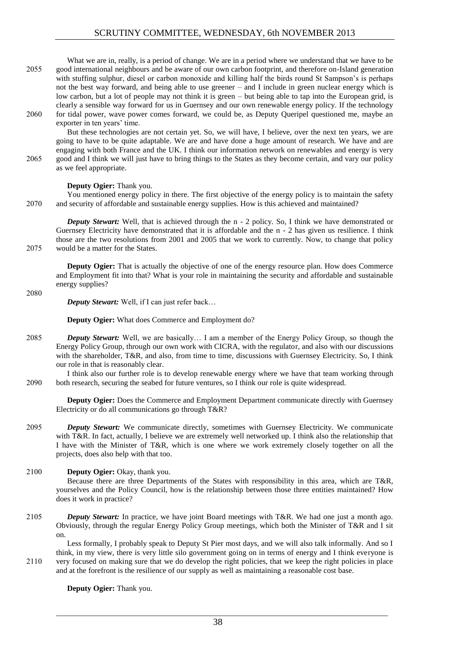What we are in, really, is a period of change. We are in a period where we understand that we have to be 2055 good international neighbours and be aware of our own carbon footprint, and therefore on-Island generation with stuffing sulphur, diesel or carbon monoxide and killing half the birds round St Sampson's is perhaps not the best way forward, and being able to use greener – and I include in green nuclear energy which is low carbon, but a lot of people may not think it is green – but being able to tap into the European grid, is clearly a sensible way forward for us in Guernsey and our own renewable energy policy. If the technology 2060 for tidal power, wave power comes forward, we could be, as Deputy Queripel questioned me, maybe an exporter in ten years' time.

But these technologies are not certain yet. So, we will have, I believe, over the next ten years, we are going to have to be quite adaptable. We are and have done a huge amount of research. We have and are engaging with both France and the UK. I think our information network on renewables and energy is very 2065 good and I think we will just have to bring things to the States as they become certain, and vary our policy as we feel appropriate.

## **Deputy Ogier:** Thank you.

You mentioned energy policy in there. The first objective of the energy policy is to maintain the safety 2070 and security of affordable and sustainable energy supplies. How is this achieved and maintained?

*Deputy Stewart:* Well, that is achieved through the n - 2 policy. So, I think we have demonstrated or Guernsey Electricity have demonstrated that it is affordable and the n - 2 has given us resilience. I think those are the two resolutions from 2001 and 2005 that we work to currently. Now, to change that policy 2075 would be a matter for the States.

**Deputy Ogier:** That is actually the objective of one of the energy resource plan. How does Commerce and Employment fit into that? What is your role in maintaining the security and affordable and sustainable energy supplies?

2080

*Deputy Stewart:* Well, if I can just refer back…

**Deputy Ogier:** What does Commerce and Employment do?

2085 *Deputy Stewart:* Well, we are basically… I am a member of the Energy Policy Group, so though the Energy Policy Group, through our own work with CICRA, with the regulator, and also with our discussions with the shareholder, T&R, and also, from time to time, discussions with Guernsey Electricity. So, I think our role in that is reasonably clear.

I think also our further role is to develop renewable energy where we have that team working through 2090 both research, securing the seabed for future ventures, so I think our role is quite widespread.

**Deputy Ogier:** Does the Commerce and Employment Department communicate directly with Guernsey Electricity or do all communications go through T&R?

2095 *Deputy Stewart:* We communicate directly, sometimes with Guernsey Electricity. We communicate with T&R. In fact, actually, I believe we are extremely well networked up. I think also the relationship that I have with the Minister of T&R, which is one where we work extremely closely together on all the projects, does also help with that too.

## 2100 **Deputy Ogier:** Okay, thank you.

Because there are three Departments of the States with responsibility in this area, which are T&R, yourselves and the Policy Council, how is the relationship between those three entities maintained? How does it work in practice?

2105 *Deputy Stewart:* In practice, we have joint Board meetings with T&R. We had one just a month ago. Obviously, through the regular Energy Policy Group meetings, which both the Minister of T&R and I sit on.

Less formally, I probably speak to Deputy St Pier most days, and we will also talk informally. And so I think, in my view, there is very little silo government going on in terms of energy and I think everyone is 2110 very focused on making sure that we do develop the right policies, that we keep the right policies in place and at the forefront is the resilience of our supply as well as maintaining a reasonable cost base.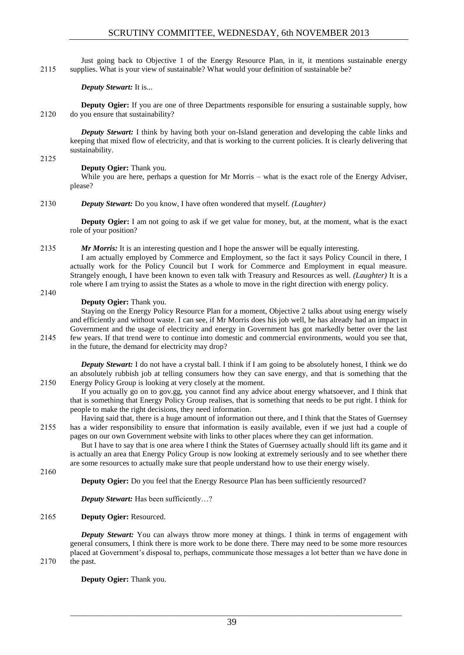Just going back to Objective 1 of the Energy Resource Plan, in it, it mentions sustainable energy 2115 supplies. What is your view of sustainable? What would your definition of sustainable be?

*Deputy Stewart:* It is...

**Deputy Ogier:** If you are one of three Departments responsible for ensuring a sustainable supply, how 2120 do you ensure that sustainability?

*Deputy Stewart:* I think by having both your on-Island generation and developing the cable links and keeping that mixed flow of electricity, and that is working to the current policies. It is clearly delivering that sustainability.

2125

## **Deputy Ogier:** Thank you.

While you are here, perhaps a question for Mr Morris – what is the exact role of the Energy Adviser, please?

2130 *Deputy Stewart:* Do you know, I have often wondered that myself. *(Laughter)*

**Deputy Ogier:** I am not going to ask if we get value for money, but, at the moment, what is the exact role of your position?

2135 *Mr Morris:* It is an interesting question and I hope the answer will be equally interesting.

I am actually employed by Commerce and Employment, so the fact it says Policy Council in there, I actually work for the Policy Council but I work for Commerce and Employment in equal measure. Strangely enough, I have been known to even talk with Treasury and Resources as well. *(Laughter)* It is a role where I am trying to assist the States as a whole to move in the right direction with energy policy.

2140

## **Deputy Ogier:** Thank you.

Staying on the Energy Policy Resource Plan for a moment, Objective 2 talks about using energy wisely and efficiently and without waste. I can see, if Mr Morris does his job well, he has already had an impact in Government and the usage of electricity and energy in Government has got markedly better over the last 2145 few years. If that trend were to continue into domestic and commercial environments, would you see that, in the future, the demand for electricity may drop?

*Deputy Stewart:* I do not have a crystal ball. I think if I am going to be absolutely honest, I think we do an absolutely rubbish job at telling consumers how they can save energy, and that is something that the 2150 Energy Policy Group is looking at very closely at the moment.

If you actually go on to gov.gg, you cannot find any advice about energy whatsoever, and I think that that is something that Energy Policy Group realises, that is something that needs to be put right. I think for people to make the right decisions, they need information.

Having said that, there is a huge amount of information out there, and I think that the States of Guernsey 2155 has a wider responsibility to ensure that information is easily available, even if we just had a couple of pages on our own Government website with links to other places where they can get information.

But I have to say that is one area where I think the States of Guernsey actually should lift its game and it is actually an area that Energy Policy Group is now looking at extremely seriously and to see whether there are some resources to actually make sure that people understand how to use their energy wisely.

2160

**Deputy Ogier:** Do you feel that the Energy Resource Plan has been sufficiently resourced?

*Deputy Stewart:* Has been sufficiently...?

## 2165 **Deputy Ogier:** Resourced.

*Deputy Stewart:* You can always throw more money at things. I think in terms of engagement with general consumers, I think there is more work to be done there. There may need to be some more resources placed at Government's disposal to, perhaps, communicate those messages a lot better than we have done in 2170 the past.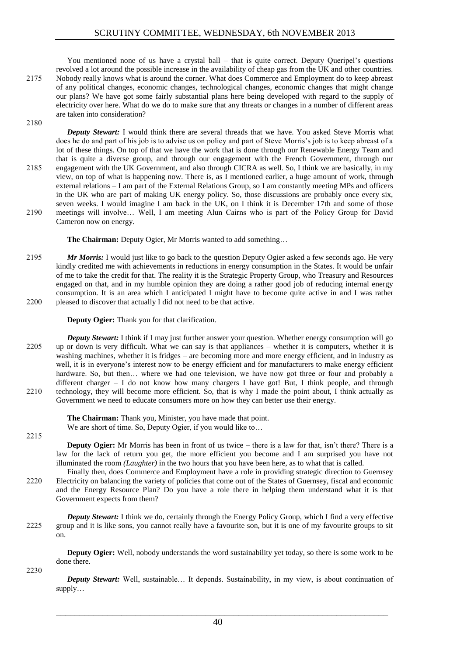You mentioned none of us have a crystal ball – that is quite correct. Deputy Queripel's questions revolved a lot around the possible increase in the availability of cheap gas from the UK and other countries. 2175 Nobody really knows what is around the corner. What does Commerce and Employment do to keep abreast of any political changes, economic changes, technological changes, economic changes that might change our plans? We have got some fairly substantial plans here being developed with regard to the supply of electricity over here. What do we do to make sure that any threats or changes in a number of different areas are taken into consideration?

2180

*Deputy Stewart:* I would think there are several threads that we have. You asked Steve Morris what does he do and part of his job is to advise us on policy and part of Steve Morris's job is to keep abreast of a lot of these things. On top of that we have the work that is done through our Renewable Energy Team and that is quite a diverse group, and through our engagement with the French Government, through our 2185 engagement with the UK Government, and also through CICRA as well. So, I think we are basically, in my view, on top of what is happening now. There is, as I mentioned earlier, a huge amount of work, through external relations – I am part of the External Relations Group, so I am constantly meeting MPs and officers in the UK who are part of making UK energy policy. So, those discussions are probably once every six, seven weeks. I would imagine I am back in the UK, on I think it is December 17th and some of those 2190 meetings will involve… Well, I am meeting Alun Cairns who is part of the Policy Group for David Cameron now on energy.

**The Chairman:** Deputy Ogier, Mr Morris wanted to add something…

2195 *Mr Morris:* I would just like to go back to the question Deputy Ogier asked a few seconds ago. He very kindly credited me with achievements in reductions in energy consumption in the States. It would be unfair of me to take the credit for that. The reality it is the Strategic Property Group, who Treasury and Resources engaged on that, and in my humble opinion they are doing a rather good job of reducing internal energy consumption. It is an area which I anticipated I might have to become quite active in and I was rather 2200 pleased to discover that actually I did not need to be that active.

## **Deputy Ogier:** Thank you for that clarification.

*Deputy Stewart:* I think if I may just further answer your question. Whether energy consumption will go 2205 up or down is very difficult. What we can say is that appliances – whether it is computers, whether it is washing machines, whether it is fridges – are becoming more and more energy efficient, and in industry as well, it is in everyone's interest now to be energy efficient and for manufacturers to make energy efficient hardware. So, but then... where we had one television, we have now got three or four and probably a different charger – I do not know how many chargers I have got! But, I think people, and through 2210 technology, they will become more efficient. So, that is why I made the point about, I think actually as Government we need to educate consumers more on how they can better use their energy.

> **The Chairman:** Thank you, Minister, you have made that point. We are short of time. So, Deputy Ogier, if you would like to...

2215

**Deputy Ogier:** Mr Morris has been in front of us twice – there is a law for that, isn't there? There is a law for the lack of return you get, the more efficient you become and I am surprised you have not illuminated the room *(Laughter)* in the two hours that you have been here, as to what that is called.

Finally then, does Commerce and Employment have a role in providing strategic direction to Guernsey 2220 Electricity on balancing the variety of policies that come out of the States of Guernsey, fiscal and economic and the Energy Resource Plan? Do you have a role there in helping them understand what it is that Government expects from them?

*Deputy Stewart:* I think we do, certainly through the Energy Policy Group, which I find a very effective 2225 group and it is like sons, you cannot really have a favourite son, but it is one of my favourite groups to sit on.

**Deputy Ogier:** Well, nobody understands the word sustainability yet today, so there is some work to be done there.

2230

*Deputy Stewart:* Well, sustainable… It depends. Sustainability, in my view, is about continuation of supply…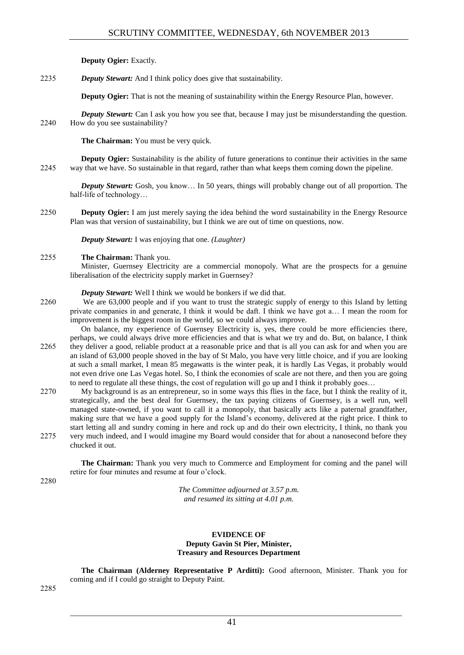**Deputy Ogier:** Exactly.

2235 *Deputy Stewart:* And I think policy does give that sustainability.

**Deputy Ogier:** That is not the meaning of sustainability within the Energy Resource Plan, however.

*Deputy Stewart:* Can I ask you how you see that, because I may just be misunderstanding the question. 2240 How do you see sustainability?

**The Chairman:** You must be very quick.

**Deputy Ogier:** Sustainability is the ability of future generations to continue their activities in the same 2245 way that we have. So sustainable in that regard, rather than what keeps them coming down the pipeline.

*Deputy Stewart:* Gosh, you know… In 50 years, things will probably change out of all proportion. The half-life of technology…

2250 **Deputy Ogier:** I am just merely saying the idea behind the word sustainability in the Energy Resource Plan was that version of sustainability, but I think we are out of time on questions, now.

*Deputy Stewart:* I was enjoying that one. *(Laughter)*

## 2255 **The Chairman:** Thank you.

Minister, Guernsey Electricity are a commercial monopoly. What are the prospects for a genuine liberalisation of the electricity supply market in Guernsey?

*Deputy Stewart:* Well I think we would be bonkers if we did that.

2260 We are 63,000 people and if you want to trust the strategic supply of energy to this Island by letting private companies in and generate, I think it would be daft. I think we have got a… I mean the room for improvement is the biggest room in the world, so we could always improve.

On balance, my experience of Guernsey Electricity is, yes, there could be more efficiencies there, perhaps, we could always drive more efficiencies and that is what we try and do. But, on balance, I think 2265 they deliver a good, reliable product at a reasonable price and that is all you can ask for and when you are an island of 63,000 people shoved in the bay of St Malo, you have very little choice, and if you are looking at such a small market, I mean 85 megawatts is the winter peak, it is hardly Las Vegas, it probably would not even drive one Las Vegas hotel. So, I think the economies of scale are not there, and then you are going to need to regulate all these things, the cost of regulation will go up and I think it probably goes…

2270 My background is as an entrepreneur, so in some ways this flies in the face, but I think the reality of it, strategically, and the best deal for Guernsey, the tax paying citizens of Guernsey, is a well run, well managed state-owned, if you want to call it a monopoly, that basically acts like a paternal grandfather, making sure that we have a good supply for the Island's economy, delivered at the right price. I think to start letting all and sundry coming in here and rock up and do their own electricity, I think, no thank you 2275 very much indeed, and I would imagine my Board would consider that for about a nanosecond before they chucked it out.

**The Chairman:** Thank you very much to Commerce and Employment for coming and the panel will retire for four minutes and resume at four o'clock.

2280

*The Committee adjourned at 3.57 p.m. and resumed its sitting at 4.01 p.m.*

## **EVIDENCE OF Deputy Gavin St Pier, Minister, Treasury and Resources Department**

**The Chairman (Alderney Representative P Arditti):** Good afternoon, Minister. Thank you for coming and if I could go straight to Deputy Paint.

2285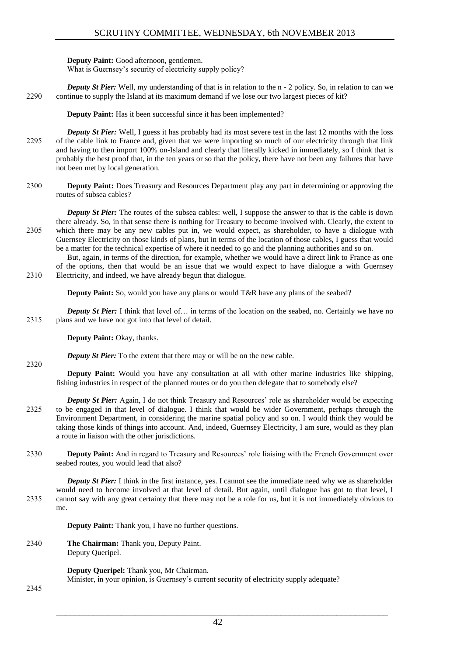**Deputy Paint:** Good afternoon, gentlemen.

What is Guernsey's security of electricity supply policy?

*Deputy St Pier:* Well, my understanding of that is in relation to the n - 2 policy. So, in relation to can we 2290 continue to supply the Island at its maximum demand if we lose our two largest pieces of kit?

**Deputy Paint:** Has it been successful since it has been implemented?

*Deputy St Pier:* Well, I guess it has probably had its most severe test in the last 12 months with the loss 2295 of the cable link to France and, given that we were importing so much of our electricity through that link and having to then import 100% on-Island and clearly that literally kicked in immediately, so I think that is probably the best proof that, in the ten years or so that the policy, there have not been any failures that have not been met by local generation.

2300 **Deputy Paint:** Does Treasury and Resources Department play any part in determining or approving the routes of subsea cables?

*Deputy St Pier:* The routes of the subsea cables: well, I suppose the answer to that is the cable is down there already. So, in that sense there is nothing for Treasury to become involved with. Clearly, the extent to 2305 which there may be any new cables put in, we would expect, as shareholder, to have a dialogue with Guernsey Electricity on those kinds of plans, but in terms of the location of those cables, I guess that would be a matter for the technical expertise of where it needed to go and the planning authorities and so on.

But, again, in terms of the direction, for example, whether we would have a direct link to France as one of the options, then that would be an issue that we would expect to have dialogue a with Guernsey 2310 Electricity, and indeed, we have already begun that dialogue.

**Deputy Paint:** So, would you have any plans or would T&R have any plans of the seabed?

*Deputy St Pier:* I think that level of... in terms of the location on the seabed, no. Certainly we have no 2315 plans and we have not got into that level of detail.

**Deputy Paint:** Okay, thanks.

*Deputy St Pier:* To the extent that there may or will be on the new cable.

**Deputy Paint:** Would you have any consultation at all with other marine industries like shipping, fishing industries in respect of the planned routes or do you then delegate that to somebody else?

- *Deputy St Pier:* Again, I do not think Treasury and Resources' role as shareholder would be expecting 2325 to be engaged in that level of dialogue. I think that would be wider Government, perhaps through the Environment Department, in considering the marine spatial policy and so on. I would think they would be taking those kinds of things into account. And, indeed, Guernsey Electricity, I am sure, would as they plan a route in liaison with the other jurisdictions.
- 2330 **Deputy Paint:** And in regard to Treasury and Resources' role liaising with the French Government over seabed routes, you would lead that also?

*Deputy St Pier:* I think in the first instance, yes. I cannot see the immediate need why we as shareholder would need to become involved at that level of detail. But again, until dialogue has got to that level, I 2335 cannot say with any great certainty that there may not be a role for us, but it is not immediately obvious to me.

**Deputy Paint:** Thank you, I have no further questions.

2340 **The Chairman:** Thank you, Deputy Paint. Deputy Queripel.

**Deputy Queripel:** Thank you, Mr Chairman.

Minister, in your opinion, is Guernsey's current security of electricity supply adequate?

2345

2320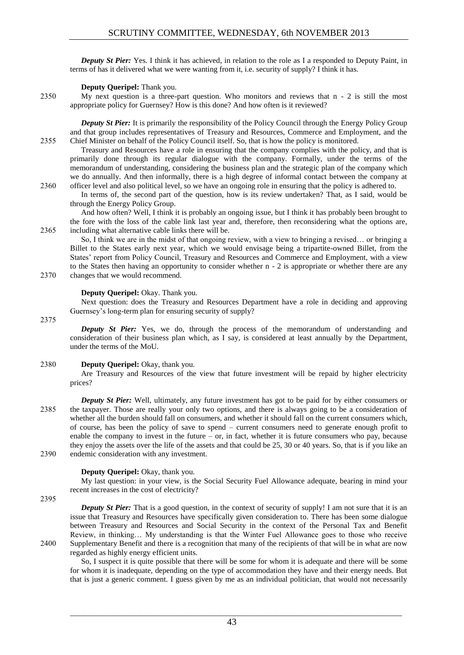*Deputy St Pier:* Yes. I think it has achieved, in relation to the role as I a responded to Deputy Paint, in terms of has it delivered what we were wanting from it, i.e. security of supply? I think it has.

#### **Deputy Queripel:** Thank you.

2350 My next question is a three-part question. Who monitors and reviews that n - 2 is still the most appropriate policy for Guernsey? How is this done? And how often is it reviewed?

*Deputy St Pier:* It is primarily the responsibility of the Policy Council through the Energy Policy Group and that group includes representatives of Treasury and Resources, Commerce and Employment, and the 2355 Chief Minister on behalf of the Policy Council itself. So, that is how the policy is monitored.

Treasury and Resources have a role in ensuring that the company complies with the policy, and that is primarily done through its regular dialogue with the company. Formally, under the terms of the memorandum of understanding, considering the business plan and the strategic plan of the company which we do annually. And then informally, there is a high degree of informal contact between the company at

2360 officer level and also political level, so we have an ongoing role in ensuring that the policy is adhered to. In terms of, the second part of the question, how is its review undertaken? That, as I said, would be through the Energy Policy Group.

And how often? Well, I think it is probably an ongoing issue, but I think it has probably been brought to the fore with the loss of the cable link last year and, therefore, then reconsidering what the options are, 2365 including what alternative cable links there will be.

So, I think we are in the midst of that ongoing review, with a view to bringing a revised… or bringing a Billet to the States early next year, which we would envisage being a tripartite-owned Billet, from the States' report from Policy Council, Treasury and Resources and Commerce and Employment, with a view to the States then having an opportunity to consider whether n - 2 is appropriate or whether there are any 2370 changes that we would recommend.

#### **Deputy Queripel:** Okay. Thank you.

Next question: does the Treasury and Resources Department have a role in deciding and approving Guernsey's long-term plan for ensuring security of supply?

2375

*Deputy St Pier:* Yes, we do, through the process of the memorandum of understanding and consideration of their business plan which, as I say, is considered at least annually by the Department, under the terms of the MoU.

## 2380 **Deputy Queripel:** Okay, thank you.

Are Treasury and Resources of the view that future investment will be repaid by higher electricity prices?

*Deputy St Pier:* Well, ultimately, any future investment has got to be paid for by either consumers or 2385 the taxpayer. Those are really your only two options, and there is always going to be a consideration of whether all the burden should fall on consumers, and whether it should fall on the current consumers which, of course, has been the policy of save to spend – current consumers need to generate enough profit to enable the company to invest in the future – or, in fact, whether it is future consumers who pay, because they enjoy the assets over the life of the assets and that could be 25, 30 or 40 years. So, that is if you like an 2390 endemic consideration with any investment.

## **Deputy Queripel:** Okay, thank you.

My last question: in your view, is the Social Security Fuel Allowance adequate, bearing in mind your recent increases in the cost of electricity?

2395

**Deputy St Pier:** That is a good question, in the context of security of supply! I am not sure that it is an issue that Treasury and Resources have specifically given consideration to. There has been some dialogue between Treasury and Resources and Social Security in the context of the Personal Tax and Benefit Review, in thinking… My understanding is that the Winter Fuel Allowance goes to those who receive 2400 Supplementary Benefit and there is a recognition that many of the recipients of that will be in what are now regarded as highly energy efficient units.

So, I suspect it is quite possible that there will be some for whom it is adequate and there will be some for whom it is inadequate, depending on the type of accommodation they have and their energy needs. But that is just a generic comment. I guess given by me as an individual politician, that would not necessarily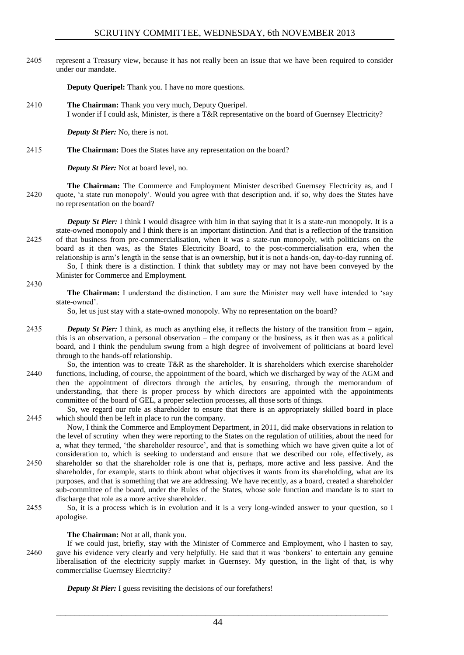2405 represent a Treasury view, because it has not really been an issue that we have been required to consider under our mandate.

**Deputy Queripel:** Thank you. I have no more questions.

2410 **The Chairman:** Thank you very much, Deputy Queripel. I wonder if I could ask, Minister, is there a T&R representative on the board of Guernsey Electricity?

*Deputy St Pier:* No, there is not.

2415 **The Chairman:** Does the States have any representation on the board?

*Deputy St Pier:* Not at board level, no.

**The Chairman:** The Commerce and Employment Minister described Guernsey Electricity as, and I 2420 quote, 'a state run monopoly'. Would you agree with that description and, if so, why does the States have no representation on the board?

*Deputy St Pier:* I think I would disagree with him in that saying that it is a state-run monopoly. It is a state-owned monopoly and I think there is an important distinction. And that is a reflection of the transition 2425 of that business from pre-commercialisation, when it was a state-run monopoly, with politicians on the board as it then was, as the States Electricity Board, to the post-commercialisation era, when the relationship is arm's length in the sense that is an ownership, but it is not a hands-on, day-to-day running of. So, I think there is a distinction. I think that subtlety may or may not have been conveyed by the

Minister for Commerce and Employment.

#### 2430

**The Chairman:** I understand the distinction. I am sure the Minister may well have intended to 'say state-owned'.

So, let us just stay with a state-owned monopoly. Why no representation on the board?

- 2435 *Deputy St Pier:* I think, as much as anything else, it reflects the history of the transition from again, this is an observation, a personal observation – the company or the business, as it then was as a political board, and I think the pendulum swung from a high degree of involvement of politicians at board level through to the hands-off relationship.
- So, the intention was to create T&R as the shareholder. It is shareholders which exercise shareholder 2440 functions, including, of course, the appointment of the board, which we discharged by way of the AGM and then the appointment of directors through the articles, by ensuring, through the memorandum of understanding, that there is proper process by which directors are appointed with the appointments committee of the board of GEL, a proper selection processes, all those sorts of things.
- So, we regard our role as shareholder to ensure that there is an appropriately skilled board in place 2445 which should then be left in place to run the company.

Now, I think the Commerce and Employment Department, in 2011, did make observations in relation to the level of scrutiny when they were reporting to the States on the regulation of utilities, about the need for a, what they termed, 'the shareholder resource', and that is something which we have given quite a lot of consideration to, which is seeking to understand and ensure that we described our role, effectively, as

- 2450 shareholder so that the shareholder role is one that is, perhaps, more active and less passive. And the shareholder, for example, starts to think about what objectives it wants from its shareholding, what are its purposes, and that is something that we are addressing. We have recently, as a board, created a shareholder sub-committee of the board, under the Rules of the States, whose sole function and mandate is to start to discharge that role as a more active shareholder.
- 2455 So, it is a process which is in evolution and it is a very long-winded answer to your question, so I apologise.

#### **The Chairman:** Not at all, thank you.

If we could just, briefly, stay with the Minister of Commerce and Employment, who I hasten to say, 2460 gave his evidence very clearly and very helpfully. He said that it was 'bonkers' to entertain any genuine liberalisation of the electricity supply market in Guernsey. My question, in the light of that, is why commercialise Guernsey Electricity?

*Deputy St Pier:* I guess revisiting the decisions of our forefathers!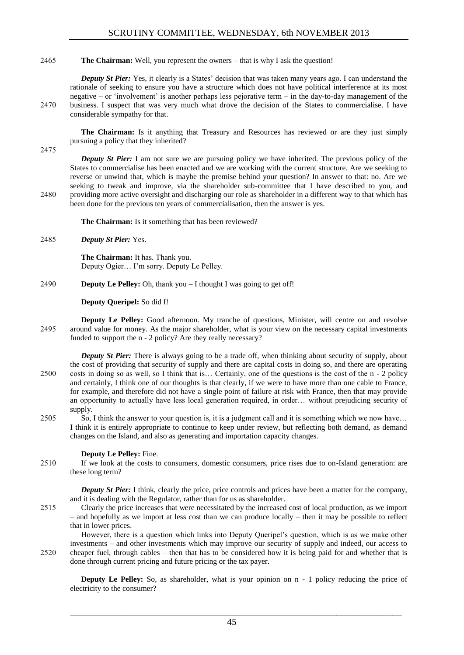## 2465 **The Chairman:** Well, you represent the owners – that is why I ask the question!

*Deputy St Pier:* Yes, it clearly is a States' decision that was taken many years ago. I can understand the rationale of seeking to ensure you have a structure which does not have political interference at its most negative – or 'involvement' is another perhaps less pejorative term – in the day-to-day management of the 2470 business. I suspect that was very much what drove the decision of the States to commercialise. I have considerable sympathy for that.

**The Chairman:** Is it anything that Treasury and Resources has reviewed or are they just simply pursuing a policy that they inherited?

2475

*Deputy St Pier:* I am not sure we are pursuing policy we have inherited. The previous policy of the States to commercialise has been enacted and we are working with the current structure. Are we seeking to reverse or unwind that, which is maybe the premise behind your question? In answer to that: no. Are we seeking to tweak and improve, via the shareholder sub-committee that I have described to you, and 2480 providing more active oversight and discharging our role as shareholder in a different way to that which has been done for the previous ten years of commercialisation, then the answer is yes.

**The Chairman:** Is it something that has been reviewed?

2485 *Deputy St Pier:* Yes.

**The Chairman:** It has. Thank you. Deputy Ogier… I'm sorry. Deputy Le Pelley.

2490 **Deputy Le Pelley:** Oh, thank you – I thought I was going to get off!

## **Deputy Queripel:** So did I!

**Deputy Le Pelley:** Good afternoon. My tranche of questions, Minister, will centre on and revolve 2495 around value for money. As the major shareholder, what is your view on the necessary capital investments funded to support the n - 2 policy? Are they really necessary?

*Deputy St Pier:* There is always going to be a trade off, when thinking about security of supply, about the cost of providing that security of supply and there are capital costs in doing so, and there are operating 2500 costs in doing so as well, so I think that is… Certainly, one of the questions is the cost of the n - 2 policy and certainly, I think one of our thoughts is that clearly, if we were to have more than one cable to France, for example, and therefore did not have a single point of failure at risk with France, then that may provide an opportunity to actually have less local generation required, in order… without prejudicing security of supply.

2505 So, I think the answer to your question is, it is a judgment call and it is something which we now have… I think it is entirely appropriate to continue to keep under review, but reflecting both demand, as demand changes on the Island, and also as generating and importation capacity changes.

## **Deputy Le Pelley:** Fine.

2510 If we look at the costs to consumers, domestic consumers, price rises due to on-Island generation: are these long term?

*Deputy St Pier:* I think, clearly the price, price controls and prices have been a matter for the company, and it is dealing with the Regulator, rather than for us as shareholder.

2515 Clearly the price increases that were necessitated by the increased cost of local production, as we import – and hopefully as we import at less cost than we can produce locally – then it may be possible to reflect that in lower prices.

However, there is a question which links into Deputy Queripel's question, which is as we make other investments – and other investments which may improve our security of supply and indeed, our access to 2520 cheaper fuel, through cables – then that has to be considered how it is being paid for and whether that is done through current pricing and future pricing or the tax payer.

**Deputy Le Pelley:** So, as shareholder, what is your opinion on  $n - 1$  policy reducing the price of electricity to the consumer?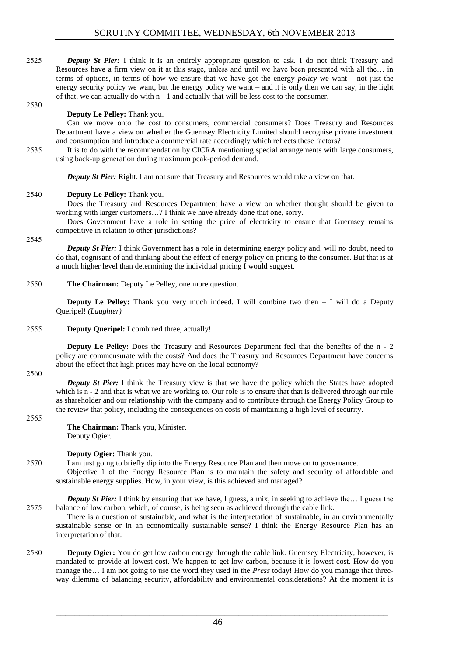2525 *Deputy St Pier:* I think it is an entirely appropriate question to ask. I do not think Treasury and Resources have a firm view on it at this stage, unless and until we have been presented with all the… in terms of options, in terms of how we ensure that we have got the energy *policy* we want – not just the energy security policy we want, but the energy policy we want – and it is only then we can say, in the light of that, we can actually do with n - 1 and actually that will be less cost to the consumer.

#### 2530

## **Deputy Le Pelley:** Thank you.

Can we move onto the cost to consumers, commercial consumers? Does Treasury and Resources Department have a view on whether the Guernsey Electricity Limited should recognise private investment and consumption and introduce a commercial rate accordingly which reflects these factors?

2535 It is to do with the recommendation by CICRA mentioning special arrangements with large consumers, using back-up generation during maximum peak-period demand.

**Deputy St Pier:** Right. I am not sure that Treasury and Resources would take a view on that.

## 2540 **Deputy Le Pelley:** Thank you.

Does the Treasury and Resources Department have a view on whether thought should be given to working with larger customers…? I think we have already done that one, sorry.

Does Government have a role in setting the price of electricity to ensure that Guernsey remains competitive in relation to other jurisdictions?

#### 2545

*Deputy St Pier:* I think Government has a role in determining energy policy and, will no doubt, need to do that, cognisant of and thinking about the effect of energy policy on pricing to the consumer. But that is at a much higher level than determining the individual pricing I would suggest.

2550 **The Chairman:** Deputy Le Pelley, one more question.

**Deputy Le Pelley:** Thank you very much indeed. I will combine two then – I will do a Deputy Queripel! *(Laughter)*

## 2555 **Deputy Queripel:** I combined three, actually!

**Deputy Le Pelley:** Does the Treasury and Resources Department feel that the benefits of the n - 2 policy are commensurate with the costs? And does the Treasury and Resources Department have concerns about the effect that high prices may have on the local economy?

2560

*Deputy St Pier:* I think the Treasury view is that we have the policy which the States have adopted which is n - 2 and that is what we are working to. Our role is to ensure that that is delivered through our role as shareholder and our relationship with the company and to contribute through the Energy Policy Group to the review that policy, including the consequences on costs of maintaining a high level of security.

#### 2565

**The Chairman:** Thank you, Minister. Deputy Ogier.

## **Deputy Ogier:** Thank you.

2570 I am just going to briefly dip into the Energy Resource Plan and then move on to governance.

Objective 1 of the Energy Resource Plan is to maintain the safety and security of affordable and sustainable energy supplies. How, in your view, is this achieved and managed?

*Deputy St Pier:* I think by ensuring that we have, I guess, a mix, in seeking to achieve the... I guess the 2575 balance of low carbon, which, of course, is being seen as achieved through the cable link.

There is a question of sustainable, and what is the interpretation of sustainable, in an environmentally sustainable sense or in an economically sustainable sense? I think the Energy Resource Plan has an interpretation of that.

2580 **Deputy Ogier:** You do get low carbon energy through the cable link. Guernsey Electricity, however, is mandated to provide at lowest cost. We happen to get low carbon, because it is lowest cost. How do you manage the… I am not going to use the word they used in the *Press* today! How do you manage that threeway dilemma of balancing security, affordability and environmental considerations? At the moment it is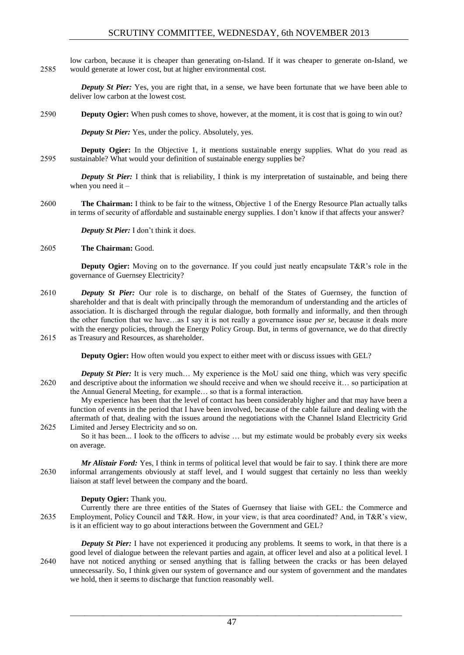low carbon, because it is cheaper than generating on-Island. If it was cheaper to generate on-Island, we 2585 would generate at lower cost, but at higher environmental cost.

*Deputy St Pier:* Yes, you are right that, in a sense, we have been fortunate that we have been able to deliver low carbon at the lowest cost.

2590 **Deputy Ogier:** When push comes to shove, however, at the moment, it is cost that is going to win out?

*Deputy St Pier:* Yes, under the policy. Absolutely, yes.

**Deputy Ogier:** In the Objective 1, it mentions sustainable energy supplies. What do you read as 2595 sustainable? What would your definition of sustainable energy supplies be?

*Deputy St Pier:* I think that is reliability, I think is my interpretation of sustainable, and being there when you need it –

2600 **The Chairman:** I think to be fair to the witness, Objective 1 of the Energy Resource Plan actually talks in terms of security of affordable and sustainable energy supplies. I don't know if that affects your answer?

*Deputy St Pier:* I don't think it does.

## 2605 **The Chairman:** Good.

**Deputy Ogier:** Moving on to the governance. If you could just neatly encapsulate T&R's role in the governance of Guernsey Electricity?

- 2610 *Deputy St Pier:* Our role is to discharge, on behalf of the States of Guernsey, the function of shareholder and that is dealt with principally through the memorandum of understanding and the articles of association. It is discharged through the regular dialogue, both formally and informally, and then through the other function that we have…as I say it is not really a governance issue *per se*, because it deals more with the energy policies, through the Energy Policy Group. But, in terms of governance, we do that directly 2615 as Treasury and Resources, as shareholder.
	- **Deputy Ogier:** How often would you expect to either meet with or discuss issues with GEL?
- *Deputy St Pier:* It is very much... My experience is the MoU said one thing, which was very specific 2620 and descriptive about the information we should receive and when we should receive it… so participation at the Annual General Meeting, for example… so that is a formal interaction.

My experience has been that the level of contact has been considerably higher and that may have been a function of events in the period that I have been involved, because of the cable failure and dealing with the aftermath of that, dealing with the issues around the negotiations with the Channel Island Electricity Grid 2625 Limited and Jersey Electricity and so on.

So it has been... I look to the officers to advise … but my estimate would be probably every six weeks on average.

*Mr Alistair Ford:* Yes, I think in terms of political level that would be fair to say. I think there are more 2630 informal arrangements obviously at staff level, and I would suggest that certainly no less than weekly liaison at staff level between the company and the board.

## **Deputy Ogier:** Thank you.

Currently there are three entities of the States of Guernsey that liaise with GEL: the Commerce and 2635 Employment, Policy Council and T&R. How, in your view, is that area coordinated? And, in T&R's view, is it an efficient way to go about interactions between the Government and GEL?

*Deputy St Pier:* I have not experienced it producing any problems. It seems to work, in that there is a good level of dialogue between the relevant parties and again, at officer level and also at a political level. I 2640 have not noticed anything or sensed anything that is falling between the cracks or has been delayed unnecessarily. So, I think given our system of governance and our system of government and the mandates we hold, then it seems to discharge that function reasonably well.

 $\mathcal{L}_\text{max} = \mathcal{L}_\text{max} = \mathcal{L}_\text{max} = \mathcal{L}_\text{max} = \mathcal{L}_\text{max} = \mathcal{L}_\text{max} = \mathcal{L}_\text{max} = \mathcal{L}_\text{max} = \mathcal{L}_\text{max} = \mathcal{L}_\text{max} = \mathcal{L}_\text{max} = \mathcal{L}_\text{max} = \mathcal{L}_\text{max} = \mathcal{L}_\text{max} = \mathcal{L}_\text{max} = \mathcal{L}_\text{max} = \mathcal{L}_\text{max} = \mathcal{L}_\text{max} = \mathcal{$ 47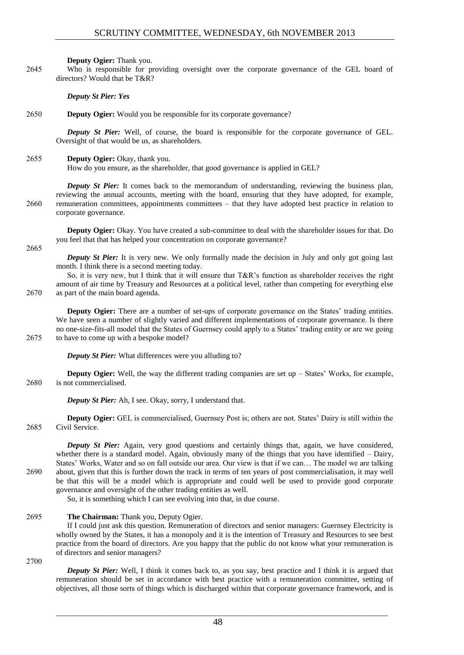**Deputy Ogier:** Thank you.

2645 Who is responsible for providing oversight over the corporate governance of the GEL board of directors? Would that be T&R?

*Deputy St Pier: Yes*

2650 **Deputy Ogier:** Would you be responsible for its corporate governance?

*Deputy St Pier:* Well, of course, the board is responsible for the corporate governance of GEL. Oversight of that would be us, as shareholders.

2655 **Deputy Ogier:** Okay, thank you.

How do you ensure, as the shareholder, that good governance is applied in GEL?

*Deputy St Pier:* It comes back to the memorandum of understanding, reviewing the business plan, reviewing the annual accounts, meeting with the board, ensuring that they have adopted, for example, 2660 remuneration committees, appointments committees – that they have adopted best practice in relation to corporate governance.

**Deputy Ogier:** Okay. You have created a sub-committee to deal with the shareholder issues for that. Do you feel that that has helped your concentration on corporate governance?

2665

*Deputy St Pier:* It is very new. We only formally made the decision in July and only got going last month. I think there is a second meeting today.

So, it is very new, but I think that it will ensure that T&R's function as shareholder receives the right amount of air time by Treasury and Resources at a political level, rather than competing for everything else 2670 as part of the main board agenda.

**Deputy Ogier:** There are a number of set-ups of corporate governance on the States' trading entities. We have seen a number of slightly varied and different implementations of corporate governance. Is there no one-size-fits-all model that the States of Guernsey could apply to a States' trading entity or are we going 2675 to have to come up with a bespoke model?

*Deputy St Pier:* What differences were you alluding to?

**Deputy Ogier:** Well, the way the different trading companies are set up – States' Works, for example, 2680 is not commercialised.

*Deputy St Pier:* Ah, I see. Okay, sorry, I understand that.

**Deputy Ogier:** GEL is commercialised, Guernsey Post is; others are not. States' Dairy is still within the 2685 Civil Service.

*Deputy St Pier:* Again, very good questions and certainly things that, again, we have considered, whether there is a standard model. Again, obviously many of the things that you have identified – Dairy, States' Works, Water and so on fall outside our area. Our view is that if we can… The model we are talking 2690 about, given that this is further down the track in terms of ten years of post commercialisation, it may well be that this will be a model which is appropriate and could well be used to provide good corporate governance and oversight of the other trading entities as well.

So, it is something which I can see evolving into that, in due course.

## 2695 **The Chairman:** Thank you, Deputy Ogier.

If I could just ask this question. Remuneration of directors and senior managers: Guernsey Electricity is wholly owned by the States, it has a monopoly and it is the intention of Treasury and Resources to see best practice from the board of directors. Are you happy that the public do not know what your remuneration is of directors and senior managers?

2700

*Deputy St Pier:* Well, I think it comes back to, as you say, best practice and I think it is argued that remuneration should be set in accordance with best practice with a remuneration committee, setting of objectives, all those sorts of things which is discharged within that corporate governance framework, and is